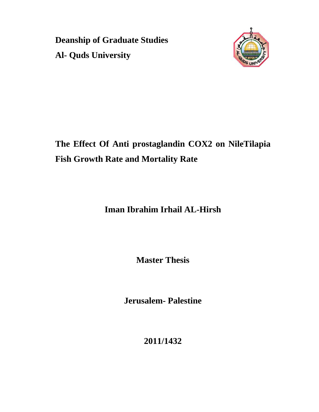**Deanship of Graduate Studies Al- Quds University** 



**The Effect Of Anti prostaglandin COX2 on NileTilapia Fish Growth Rate and Mortality Rate** 

**Iman Ibrahim Irhail AL-Hirsh** 

**Master Thesis** 

**Jerusalem- Palestine** 

**2011/1432**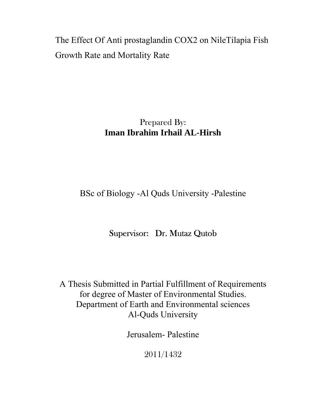The Effect Of Anti prostaglandin COX2 on NileTilapia Fish Growth Rate and Mortality Rate

## Prepared By: **Iman Ibrahim Irhail AL-Hirsh**

BSc of Biology -Al Quds University -Palestine

### Supervisor: Dr. Mutaz Qutob

A Thesis Submitted in Partial Fulfillment of Requirements for degree of Master of Environmental Studies. Department of Earth and Environmental sciences Al-Quds University

Jerusalem- Palestine

2011/1432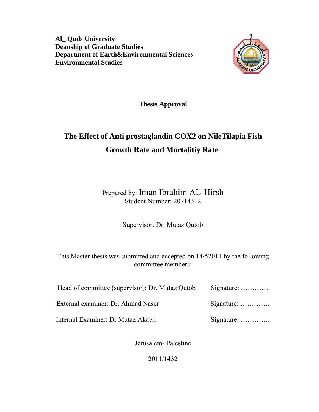**Al\_ Quds University Deanship of Graduate Studies Department of Earth&Environmental Sciences Environmental Studies**



**Thesis Approval**

# **The Effect of Anti prostaglandin COX2 on NileTilapia Fish Growth Rate and Mortalitiy Rate**

Prepared by: Iman Ibrahim AL-Hirsh Student Number: 20714312

Supervisor: Dr. Mutaz Qutob

This Master thesis was submitted and accepted on 14/52011 by the following committee members:

| Head of committee (supervisor): Dr. Mutaz Qutob | Signature:         |
|-------------------------------------------------|--------------------|
| External examiner: Dr. Ahmad Naser              | Signature: $\dots$ |
| Internal Examiner: Dr Mutaz Akawi               | Signature: $\dots$ |

Jerusalem- Palestine

2011/1432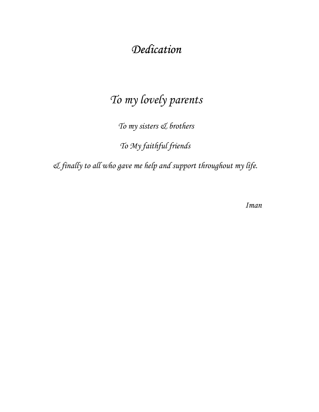# *Dedication*

# *To my lovely parents*

*To my sisters & brothers*

*To My faithful friends* 

*& finally to all who gave me help and support throughout my life.* 

*Iman*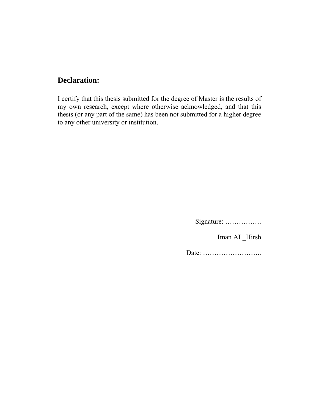### **Declaration:**

I certify that this thesis submitted for the degree of Master is the results of my own research, except where otherwise acknowledged, and that this thesis (or any part of the same) has been not submitted for a higher degree to any other university or institution.

Signature: …………….

Iman AL\_Hirsh

Date: ……………………..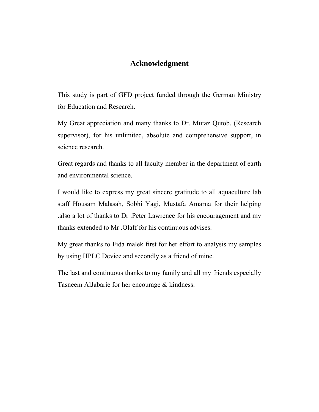### **Acknowledgment**

This study is part of GFD project funded through the German Ministry for Education and Research.

My Great appreciation and many thanks to Dr. Mutaz Qutob, (Research supervisor), for his unlimited, absolute and comprehensive support, in science research.

Great regards and thanks to all faculty member in the department of earth and environmental science.

I would like to express my great sincere gratitude to all aquaculture lab staff Housam Malasah, Sobhi Yagi, Mustafa Amarna for their helping .also a lot of thanks to Dr .Peter Lawrence for his encouragement and my thanks extended to Mr .Olaff for his continuous advises.

My great thanks to Fida malek first for her effort to analysis my samples by using HPLC Device and secondly as a friend of mine.

The last and continuous thanks to my family and all my friends especially Tasneem AlJabarie for her encourage & kindness.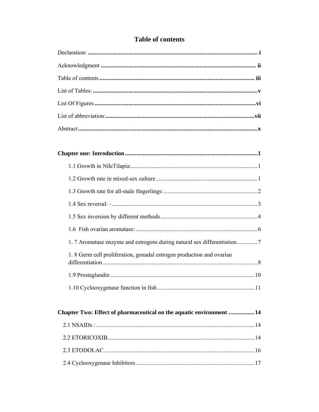### **Table of contents**

| 1.8 Germ cell proliferation, gonadal estrogen production and ovarian |  |
|----------------------------------------------------------------------|--|
|                                                                      |  |
|                                                                      |  |

| Chapter Two: Effect of pharmaceutical on the aquatic environment 14 |  |
|---------------------------------------------------------------------|--|
|                                                                     |  |
|                                                                     |  |
|                                                                     |  |
|                                                                     |  |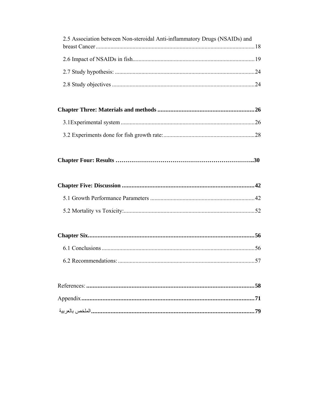| 2.5 Association between Non-steroidal Anti-inflammatory Drugs (NSAIDs) and |  |
|----------------------------------------------------------------------------|--|
|                                                                            |  |
|                                                                            |  |
|                                                                            |  |
|                                                                            |  |
|                                                                            |  |
|                                                                            |  |
|                                                                            |  |
|                                                                            |  |
|                                                                            |  |
|                                                                            |  |
|                                                                            |  |
|                                                                            |  |
|                                                                            |  |
|                                                                            |  |
|                                                                            |  |
|                                                                            |  |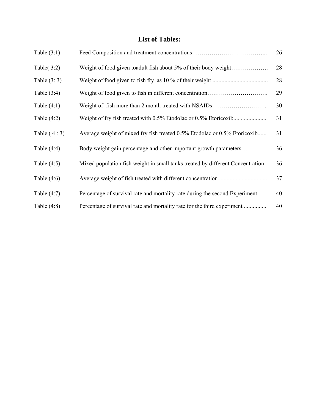### **List of Tables:**

| Table $(3:1)$ |                                                                                | 26 |
|---------------|--------------------------------------------------------------------------------|----|
| Table $(3:2)$ | Weight of food given toadult fish about 5% of their body weight                | 28 |
| Table $(3:3)$ |                                                                                | 28 |
| Table $(3:4)$ |                                                                                | 29 |
| Table $(4:1)$ | Weight of fish more than 2 month treated with NSAIDs                           | 30 |
| Table $(4:2)$ |                                                                                | 31 |
| Table $(4:3)$ | Average weight of mixed fry fish treated 0.5% Etodolac or 0.5% Etoricoxib      | 31 |
| Table $(4:4)$ | Body weight gain percentage and other important growth parameters              | 36 |
| Table $(4:5)$ | Mixed population fish weight in small tanks treated by different Concentration | 36 |
| Table $(4:6)$ |                                                                                | 37 |
| Table $(4:7)$ | Percentage of survival rate and mortality rate during the second Experiment    | 40 |
| Table $(4:8)$ | Percentage of survival rate and mortality rate for the third experiment        | 40 |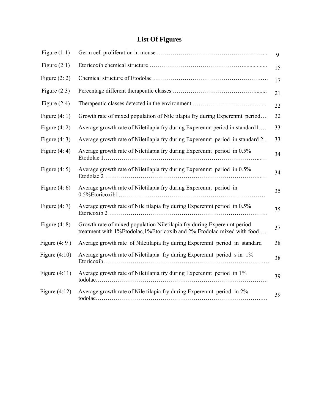### **List Of Figures**

| Figure $(1:1)$  |                                                                                                                                                    | $\mathbf{Q}$ |
|-----------------|----------------------------------------------------------------------------------------------------------------------------------------------------|--------------|
| Figure $(2:1)$  |                                                                                                                                                    | 15           |
| Figure $(2: 2)$ |                                                                                                                                                    | 17           |
| Figure $(2:3)$  |                                                                                                                                                    | 21           |
| Figure $(2:4)$  |                                                                                                                                                    | 22           |
| Figure $(4:1)$  | Growth rate of mixed population of Nile tilapia fry during Experenmt period                                                                        | 32           |
| Figure $(4:2)$  | Average growth rate of Niletilapia fry during Experenmt period in standard1                                                                        | 33           |
| Figure $(4:3)$  | Average growth rate of Niletilapia fry during Experenmt period in standard 2                                                                       | 33           |
| Figure $(4:4)$  | Average growth rate of Niletilapia fry during Experenmt period in 0.5%                                                                             | 34           |
| Figure $(4:5)$  | Average growth rate of Niletilapia fry during Experenmt period in 0.5%                                                                             | 34           |
| Figure $(4:6)$  | Average growth rate of Niletilapia fry during Experenmt period in                                                                                  | 35           |
| Figure $(4:7)$  | Average growth rate of Nile tilapia fry during Experenmt period in 0.5%                                                                            | 35           |
| Figure $(4: 8)$ | Growth rate of mixed population Niletilapia fry during Experenmt period<br>treatment with 1%Etodolac, 1%Etoricoxib and 2% Etodolac mixed with food | 37           |
| Figure $(4:9)$  | Average growth rate of Niletilapia fry during Experenmt period in standard                                                                         | 38           |
| Figure $(4:10)$ | Average growth rate of Niletilapia fry during Experenmt period s in 1%                                                                             | 38           |
| Figure $(4:11)$ | Average growth rate of Niletilapia fry during Experenmt period in 1%                                                                               | 39           |
| Figure $(4:12)$ | Average growth rate of Nile tilapia fry during Experenmt period in 2%                                                                              | 39           |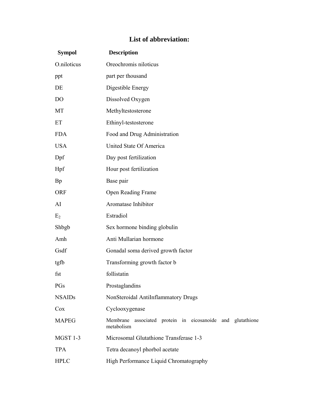### **List of abbreviation:**

| <b>Sympol</b>  | <b>Description</b>                                                       |
|----------------|--------------------------------------------------------------------------|
| O.niloticus    | Oreochromis niloticus                                                    |
| ppt            | part per thousand                                                        |
| DE             | Digestible Energy                                                        |
| D <sub>O</sub> | Dissolved Oxygen                                                         |
| MT             | Methyltestosterone                                                       |
| ET             | Ethinyl-testosterone                                                     |
| <b>FDA</b>     | Food and Drug Administration                                             |
| <b>USA</b>     | United State Of America                                                  |
| Dpf            | Day post fertilization                                                   |
| Hpf            | Hour post fertilization                                                  |
| <b>Bp</b>      | Base pair                                                                |
| <b>ORF</b>     | Open Reading Frame                                                       |
| AI             | Aromatase Inhibitor                                                      |
| E <sub>2</sub> | Estradiol                                                                |
| Shbgb          | Sex hormone binding globulin                                             |
| Amh            | Anti Mullarian hormone                                                   |
| Gsdf           | Gonadal soma derived growth factor                                       |
| tgfb           | Transforming growth factor b                                             |
| fst            | follistatin                                                              |
| PGs            | Prostaglandins                                                           |
| <b>NSAIDs</b>  | NonSteroidal AntiInflammatory Drugs                                      |
| Cox            | Cyclooxygenase                                                           |
| <b>MAPEG</b>   | Membrane associated protein in eicosanoide and glutathione<br>metabolism |
| MGST 1-3       | Microsomal Glutathione Transferase 1-3                                   |
| <b>TPA</b>     | Tetra decanoyl phorbol acetate                                           |
| <b>HPLC</b>    | High Performance Liquid Chromatography                                   |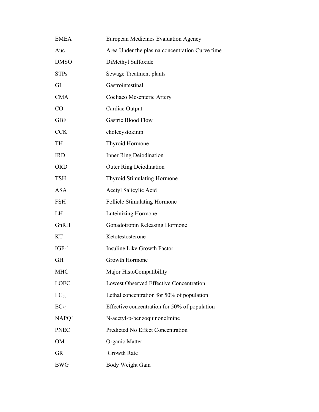| <b>EMEA</b>  | European Medicines Evaluation Agency           |
|--------------|------------------------------------------------|
| Auc          | Area Under the plasma concentration Curve time |
| <b>DMSO</b>  | DiMethyl Sulfoxide                             |
| <b>STPs</b>  | Sewage Treatment plants                        |
| GI           | Gastrointestinal                               |
| <b>CMA</b>   | Coeliaco Mesenteric Artery                     |
| CO           | Cardiac Output                                 |
| <b>GBF</b>   | <b>Gastric Blood Flow</b>                      |
| <b>CCK</b>   | cholecystokinin                                |
| <b>TH</b>    | Thyroid Hormone                                |
| <b>IRD</b>   | Inner Ring Deiodination                        |
| <b>ORD</b>   | <b>Outer Ring Deiodination</b>                 |
| <b>TSH</b>   | <b>Thyroid Stimulating Hormone</b>             |
| <b>ASA</b>   | Acetyl Salicylic Acid                          |
| <b>FSH</b>   | <b>Follicle Stimulating Hormone</b>            |
| LH           | Luteinizing Hormone                            |
| GnRH         | Gonadotropin Releasing Hormone                 |
| <b>KT</b>    | Ketotestosterone                               |
| $IGF-1$      | Insuline Like Growth Factor                    |
| <b>GH</b>    | Growth Hormone                                 |
| <b>MHC</b>   | Major HistoCompatibility                       |
| <b>LOEC</b>  | <b>Lowest Observed Effective Concentration</b> |
| $LC_{50}$    | Lethal concentration for 50% of population     |
| $EC_{50}$    | Effective concentration for 50% of population  |
| <b>NAPQI</b> | N-acetyl-p-benzoquinoneImine                   |
| <b>PNEC</b>  | Predicted No Effect Concentration              |
| OM           | Organic Matter                                 |
| <b>GR</b>    | Growth Rate                                    |
| <b>BWG</b>   | Body Weight Gain                               |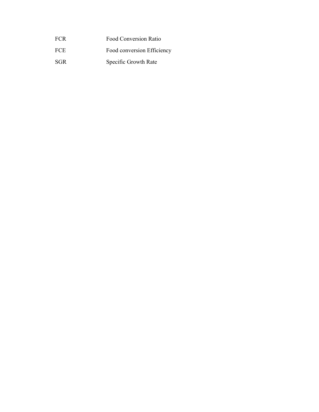| <b>FCR</b> | Food Conversion Ratio |  |
|------------|-----------------------|--|
|            |                       |  |

- FCE Food conversion Efficiency
- SGR Specific Growth Rate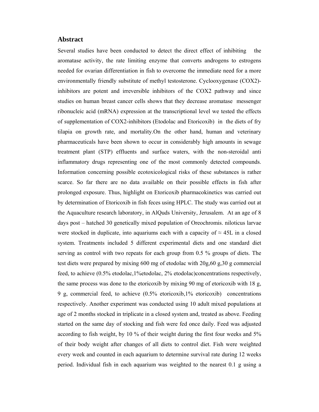#### **Abstract**

Several studies have been conducted to detect the direct effect of inhibiting the aromatase activity, the rate limiting enzyme that converts androgens to estrogens needed for ovarian differentiation in fish to overcome the immediate need for a more environmentally friendly substitute of methyl testosterone. Cyclooxygenase (COX2) inhibitors are potent and irreversible inhibitors of the COX2 pathway and since studies on human breast cancer cells shows that they decrease aromatase messenger ribonucleic acid (mRNA) expression at the transcriptional level we tested the effects of supplementation of COX2-inhibitors (Etodolac and Etoricoxib) in the diets of fry tilapia on growth rate, and mortality.On the other hand, human and veterinary pharmaceuticals have been shown to occur in considerably high amounts in sewage treatment plant (STP) effluents and surface waters, with the non-steroidal anti inflammatory drugs representing one of the most commonly detected compounds. Information concerning possible ecotoxicological risks of these substances is rather scarce. So far there are no data available on their possible effects in fish after prolonged exposure. Thus, highlight on Etoricoxib pharmacokinetics was carried out by determination of Etoricoxib in fish feces using HPLC. The study was carried out at the Aquaculture research laboratory, in AlQuds University, Jerusalem. At an age of 8 days post – hatched 30 genetically mixed population of Oreochromis. niloticus larvae were stocked in duplicate, into aquariums each with a capacity of  $\approx$  45L in a closed system. Treatments included 5 different experimental diets and one standard diet serving as control with two repeats for each group from 0.5 % groups of diets. The test diets were prepared by mixing 600 mg of etodolac with 20g,60 g,30 g commercial feed, to achieve (0.5% etodolac,1%etodolac, 2% etodolac)concentrations respectively, the same process was done to the etoricoxib by mixing 90 mg of etoricoxib with 18 g, 9 g, commercial feed, to achieve (0.5% etoricoxib,1% etoricoxib) concentrations respectively. Another experiment was conducted using 10 adult mixed populations at age of 2 months stocked in triplicate in a closed system and, treated as above. Feeding started on the same day of stocking and fish were fed once daily. Feed was adjusted according to fish weight, by 10 % of their weight during the first four weeks and 5% of their body weight after changes of all diets to control diet. Fish were weighted every week and counted in each aquarium to determine survival rate during 12 weeks period. Individual fish in each aquarium was weighted to the nearest 0.1 g using a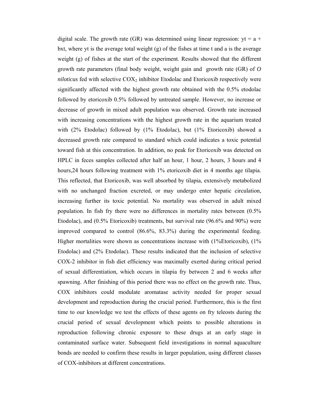digital scale. The growth rate (GR) was determined using linear regression:  $yt = a +$ bxt, where yt is the average total weight  $(g)$  of the fishes at time t and a is the average weight (g) of fishes at the start of the experiment. Results showed that the different growth rate parameters (final body weight, weight gain and growth rate (GR) of *O niloticus* fed with selective  $COX_2$  inhibitor Etodolac and Etoricoxib respectively were significantly affected with the highest growth rate obtained with the 0.5% etodolac followed by etoricoxib 0.5% followed by untreated sample. However, no increase or decrease of growth in mixed adult population was observed. Growth rate increased with increasing concentrations with the highest growth rate in the aquarium treated with (2% Etodolac) followed by (1% Etodolac), but (1% Etoricoxib) showed a decreased growth rate compared to standard which could indicates a toxic potential toward fish at this concentration. In addition, no peak for Etoricoxib was detected on HPLC in feces samples collected after half an hour, 1 hour, 2 hours, 3 hours and 4 hours, 24 hours following treatment with 1% etoricoxib diet in 4 months age tilapia. This reflected, that Etoricoxib, was well absorbed by tilapia, extensively metabolized with no unchanged fraction excreted, or may undergo enter hepatic circulation, increasing further its toxic potential. No mortality was observed in adult mixed population. In fish fry there were no differences in mortality rates between (0.5% Etodolac), and (0.5% Etoricoxib) treatments, but survival rate (96.6% and 90%) were improved compared to control (86.6%, 83.3%) during the experimental feeding. Higher mortalities were shown as concentrations increase with (1%Etoricoxib), (1% Etodolac) and (2% Etodolac). These results indicated that the inclusion of selective COX-2 inhibitor in fish diet efficiency was maximally exerted during critical period of sexual differentiation, which occurs in tilapia fry between 2 and 6 weeks after spawning. After finishing of this period there was no effect on the growth rate. Thus, COX inhibitors could modulate aromatase activity needed for proper sexual development and reproduction during the crucial period. Furthermore, this is the first time to our knowledge we test the effects of these agents on fry teleosts during the crucial period of sexual development which points to possible alterations in reproduction following chronic exposure to these drugs at an early stage in contaminated surface water. Subsequent field investigations in normal aquaculture bonds are needed to confirm these results in larger population, using different classes of COX-inhibitors at different concentrations.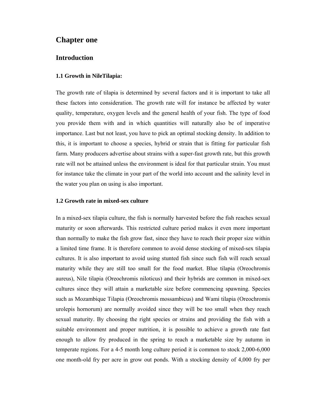#### **Chapter one**

#### **Introduction**

#### **1.1 Growth in NileTilapia:**

The growth rate of tilapia is determined by several factors and it is important to take all these factors into consideration. The growth rate will for instance be affected by water quality, temperature, oxygen levels and the general health of your fish. The type of food you provide them with and in which quantities will naturally also be of imperative importance. Last but not least, you have to pick an optimal stocking density. In addition to this, it is important to choose a species, hybrid or strain that is fitting for particular fish farm. Many producers advertise about strains with a super-fast growth rate, but this growth rate will not be attained unless the environment is ideal for that particular strain. You must for instance take the climate in your part of the world into account and the salinity level in the water you plan on using is also important.

#### **1.2 Growth rate in mixed-sex culture**

In a mixed-sex tilapia culture, the fish is normally harvested before the fish reaches sexual maturity or soon afterwards. This restricted culture period makes it even more important than normally to make the fish grow fast, since they have to reach their proper size within a limited time frame. It is therefore common to avoid dense stocking of mixed-sex tilapia cultures. It is also important to avoid using stunted fish since such fish will reach sexual maturity while they are still too small for the food market. Blue tilapia (Oreochromis aureus), Nile tilapia (Oreochromis niloticus) and their hybrids are common in mixed-sex cultures since they will attain a marketable size before commencing spawning. Species such as Mozambique Tilapia (Oreochromis mossambicus) and Wami tilapia (Oreochromis urolepis hornorum) are normally avoided since they will be too small when they reach sexual maturity. By choosing the right species or strains and providing the fish with a suitable environment and proper nutrition, it is possible to achieve a growth rate fast enough to allow fry produced in the spring to reach a marketable size by autumn in temperate regions. For a 4-5 month long culture period it is common to stock 2,000-6,000 one month-old fry per acre in grow out ponds. With a stocking density of 4,000 fry per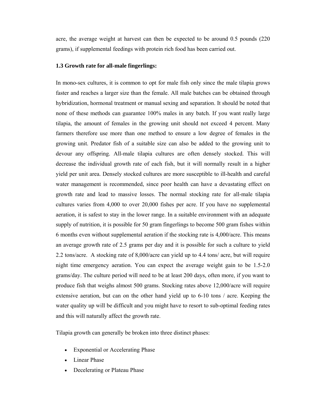acre, the average weight at harvest can then be expected to be around 0.5 pounds (220 grams), if supplemental feedings with protein rich food has been carried out.

#### **1.3 Growth rate for all-male fingerlings:**

In mono-sex cultures, it is common to opt for male fish only since the male tilapia grows faster and reaches a larger size than the female. All male batches can be obtained through hybridization, hormonal treatment or manual sexing and separation. It should be noted that none of these methods can guarantee 100% males in any batch. If you want really large tilapia, the amount of females in the growing unit should not exceed 4 percent. Many farmers therefore use more than one method to ensure a low degree of females in the growing unit. Predator fish of a suitable size can also be added to the growing unit to devour any offspring. All-male tilapia cultures are often densely stocked. This will decrease the individual growth rate of each fish, but it will normally result in a higher yield per unit area. Densely stocked cultures are more susceptible to ill-health and careful water management is recommended, since poor health can have a devastating effect on growth rate and lead to massive losses. The normal stocking rate for all-male tilapia cultures varies from 4,000 to over 20,000 fishes per acre. If you have no supplemental aeration, it is safest to stay in the lower range. In a suitable environment with an adequate supply of nutrition, it is possible for 50 gram fingerlings to become 500 gram fishes within 6 months even without supplemental aeration if the stocking rate is 4,000/acre. This means an average growth rate of 2.5 grams per day and it is possible for such a culture to yield 2.2 tons/acre. A stocking rate of 8,000/acre can yield up to 4.4 tons/ acre, but will require night time emergency aeration. You can expect the average weight gain to be 1.5-2.0 grams/day. The culture period will need to be at least 200 days, often more, if you want to produce fish that weighs almost 500 grams. Stocking rates above 12,000/acre will require extensive aeration, but can on the other hand yield up to 6-10 tons / acre. Keeping the water quality up will be difficult and you might have to resort to sub-optimal feeding rates and this will naturally affect the growth rate.

Tilapia growth can generally be broken into three distinct phases:

- Exponential or Accelerating Phase
- Linear Phase
- Decelerating or Plateau Phase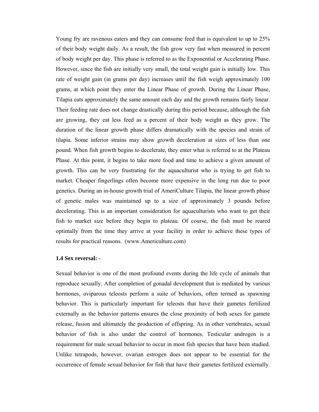Young fry are ravenous eaters and they can consume feed that is equivalent to up to 25% of their body weight daily. As a result, the fish grow very fast when measured in percent of body weight per day. This phase is referred to as the Exponential or Accelerating Phase. However, since the fish are initially very small, the total weight gain is initially low. This rate of weight gain (in grams per day) increases until the fish weigh approximately 100 grams, at which point they enter the Linear Phase of growth. During the Linear Phase, Tilapia eats approximately the same amount each day and the growth remains fairly linear. Their feeding rate does not change drastically during this period because, although the fish are growing, they eat less feed as a percent of their body weight as they grow. The duration of the linear growth phase differs dramatically with the species and strain of tilapia. Some inferior strains may show growth deceleration at sizes of less than one pound. When fish growth begins to decelerate, they enter what is referred to at the Plateau Phase. At this point, it begins to take more food and time to achieve a given amount of growth. This can be very frustrating for the aquaculturist who is trying to get fish to market. Cheaper fingerlings often become more expensive in the long run due to poor genetics. During an in-house growth trial of AmeriCulture Tilapia, the linear growth phase of genetic males was maintained up to a size of approximately 3 pounds before decelerating. This is an important consideration for aquaculturists who want to get their fish to market size before they begin to plateau. Of course, the fish must be reared optimally from the time they arrive at your facility in order to achieve these types of results for practical reasons. (www.Americulture.com)

#### **1.4 Sex reversal: -**

Sexual behavior is one of the most profound events during the life cycle of animals that reproduce sexually. After completion of gonadal development that is mediated by various hormones, oviparous teleosts perform a suite of behaviors, often termed as spawning behavior. This is particularly important for teleosts that have their gametes fertilized externally as the behavior patterns ensures the close proximity of both sexes for gamete release, fusion and ultimately the production of offspring. As in other vertebrates, sexual behavior of fish is also under the control of hormones. Testicular androgen is a requirement for male sexual behavior to occur in most fish species that have been studied. Unlike tetrapods, however, ovarian estrogen does not appear to be essential for the occurrence of female sexual behavior for fish that have their gametes fertilized externally.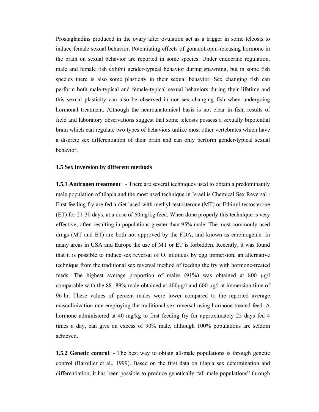Prostaglandins produced in the ovary after ovulation act as a trigger in some teleosts to induce female sexual behavior. Potentiating effects of gonadotropin-releasing hormone in the brain on sexual behavior are reported in some species. Under endocrine regulation, male and female fish exhibit gender-typical behavior during spawning, but in some fish species there is also some plasticity in their sexual behavior. Sex changing fish can perform both male-typical and female-typical sexual behaviors during their lifetime and this sexual plasticity can also be observed in non-sex changing fish when undergoing hormonal treatment. Although the neuroanatomical basis is not clear in fish, results of field and laboratory observations suggest that some teleosts possess a sexually bipotential brain which can regulate two types of behaviors unlike most other vertebrates which have a discrete sex differentiation of their brain and can only perform gender-typical sexual behavior.

#### **1.5 Sex inversion by different methods**

**1.5.1 Androgen treatment** : - There are several techniques used to obtain a predominantly male population of tilapia and the most used technique in Israel is Chemical Sex Reversal : First feeding fry are fed a diet laced with methyl-testosterone (MT) or Ethinyl-testosterone (ET) for 21-30 days, at a dose of 60mg/kg feed. When done properly this technique is very effective, often resulting in populations greater than 95% male. The most commonly used drugs (MT and ET) are both not approved by the FDA, and known as carcinogenic. In many areas in USA and Europe the use of MT or ET is forbidden. Recently, it was found that it is possible to induce sex reversal of O. niloticus by egg immersion, an alternative technique from the traditional sex reversal method of feeding the fry with hormone-treated feeds. The highest average proportion of males (91%) was obtained at 800  $\mu$ g/l comparable with the 88- 89% male obtained at  $400\mu g/l$  and  $600 \mu g/l$  at immersion time of 96-hr. These values of percent males were lower compared to the reported average masculinization rate employing the traditional sex reversal using hormone-treated feed. A hormone administered at 40 mg/kg to first feeding fry for approximately 25 days fed 4 times a day, can give an excess of 90% male, although 100% populations are seldom achieved.

**1.5.2 Genetic control**: - The best way to obtain all-male populations is through genetic control (Baroiller et al., 1999). Based on the first data on tilapia sex determination and differentiation, it has been possible to produce genetically "all-male populations" through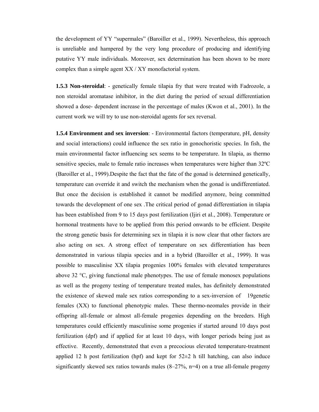the development of YY "supermales" (Baroiller et al., 1999). Nevertheless, this approach is unreliable and hampered by the very long procedure of producing and identifying putative YY male individuals. Moreover, sex determination has been shown to be more complex than a simple agent XX / XY monofactorial system.

**1.5.3 Non-steroidal**: - genetically female tilapia fry that were treated with Fadrozole, a non steroidal aromatase inhibitor, in the diet during the period of sexual differentiation showed a dose- dependent increase in the percentage of males (Kwon et al., 2001). In the current work we will try to use non-steroidal agents for sex reversal.

**1.5.4 Environment and sex inversion**: - Environmental factors (temperature, pH, density and social interactions) could influence the sex ratio in gonochoristic species. In fish, the main environmental factor influencing sex seems to be temperature. In tilapia, as thermo sensitive species, male to female ratio increases when temperatures were higher than 32ºC (Baroiller et al., 1999).Despite the fact that the fate of the gonad is determined genetically, temperature can override it and switch the mechanism when the gonad is undifferentiated. But once the decision is established it cannot be modified anymore, being committed towards the development of one sex .The critical period of gonad differentiation in tilapia has been established from 9 to 15 days post fertilization (Ijiri et al., 2008). Temperature or hormonal treatments have to be applied from this period onwards to be efficient. Despite the strong genetic basis for determining sex in tilapia it is now clear that other factors are also acting on sex. A strong effect of temperature on sex differentiation has been demonstrated in various tilapia species and in a hybrid (Baroiller et al., 1999). It was possible to masculinise XX tilapia progenies 100% females with elevated temperatures above 32 °C, giving functional male phenotypes. The use of female monosex populations as well as the progeny testing of temperature treated males, has definitely demonstrated the existence of skewed male sex ratios corresponding to a sex-inversion of 19genetic females (XX) to functional phenotypic males. These thermo-neomales provide in their offspring all-female or almost all-female progenies depending on the breeders. High temperatures could efficiently masculinise some progenies if started around 10 days post fertilization (dpf) and if applied for at least 10 days, with longer periods being just as effective. Recently, demonstrated that even a precocious elevated temperature-treatment applied 12 h post fertilization (hpf) and kept for  $52\pm2$  h till hatching, can also induce significantly skewed sex ratios towards males  $(8-27\% , n=4)$  on a true all-female progeny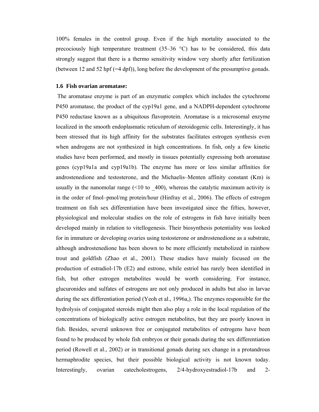100% females in the control group. Even if the high mortality associated to the precociously high temperature treatment  $(35-36 \degree C)$  has to be considered, this data strongly suggest that there is a thermo sensitivity window very shortly after fertilization (between 12 and 52 hpf (=4 dpf)), long before the development of the presumptive gonads.

#### **1.6 Fish ovarian aromatase:**

 The aromatase enzyme is part of an enzymatic complex which includes the cytochrome P450 aromatase, the product of the cyp19a1 gene, and a NADPH-dependent cytochrome P450 reductase known as a ubiquitous flavoprotein. Aromatase is a microsomal enzyme localized in the smooth endoplasmatic reticulum of steroidogenic cells. Interestingly, it has been stressed that its high affinity for the substrates facilitates estrogen synthesis even when androgens are not synthesized in high concentrations. In fish, only a few kinetic studies have been performed, and mostly in tissues potentially expressing both aromatase genes (cyp19a1a and cyp19a1b). The enzyme has more or less similar affinities for androstenedione and testosterone, and the Michaelis–Menten affinity constant (Km) is usually in the nanomolar range  $(\leq 10 \text{ to } 400)$ , whereas the catalytic maximum activity is in the order of fmol–pmol/mg protein/hour (Hinfray et al., 2006). The effects of estrogen treatment on fish sex differentiation have been investigated since the fifties, however, physiological and molecular studies on the role of estrogens in fish have initially been developed mainly in relation to vitellogenesis. Their biosynthesis potentiality was looked for in immature or developing ovaries using testosterone or androstenedione as a substrate, although androstenedione has been shown to be more efficiently metabolized in rainbow trout and goldfish (Zhao et al., 2001). These studies have mainly focused on the production of estradiol-17b (E2) and estrone, while estriol has rarely been identified in fish, but other estrogen metabolites would be worth considering. For instance, glucuronides and sulfates of estrogens are not only produced in adults but also in larvae during the sex differentiation period (Yeoh et al., 1996a,). The enzymes responsible for the hydrolysis of conjugated steroids might then also play a role in the local regulation of the concentrations of biologically active estrogen metabolites, but they are poorly known in fish. Besides, several unknown free or conjugated metabolites of estrogens have been found to be produced by whole fish embryos or their gonads during the sex differentiation period (Rowell et al., 2002) or in transitional gonads during sex change in a protandrous hermaphrodite species, but their possible biological activity is not known today. Interestingly, ovarian catecholestrogens, 2/4-hydroxyestradiol-17b and 2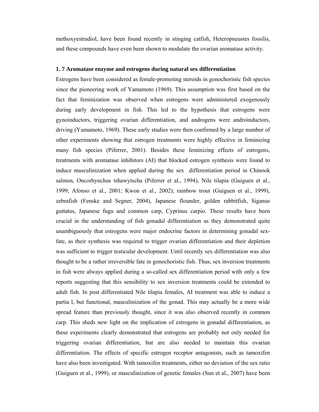methoxyestradiol, have been found recently in stinging catfish, Heteropneustes fossilis, and these compounds have even been shown to modulate the ovarian aromatase activity.

#### **1. 7 Aromatase enzyme and estrogens during natural sex differentiation**

Estrogens have been considered as female-promoting steroids in gonochoristic fish species since the pioneering work of Yamamoto (1969). This assumption was first based on the fact that feminization was observed when estrogens were administered exogenously during early development in fish. This led to the hypothesis that estrogens were gynoinductors, triggering ovarian differentiation, and androgens were androinductors, driving (Yamamoto, 1969). These early studies were then confirmed by a large number of other experiments showing that estrogen treatments were highly effective in feminizing many fish species (Piferrer, 2001). Besides these feminizing effects of estrogens, treatments with aromatase inhibitors (AI) that blocked estrogen synthesis were found to induce masculinization when applied during the sex differentiation period in Chinook salmon, Oncorhynchus tshawytscha (Piferrer et al., 1994), Nile tilapia (Guiguen et al., 1999; Afonso et al., 2001; Kwon et al., 2002), rainbow trout (Guiguen et al., 1999), zebrafish (Fenske and Segner, 2004), Japanese flounder, golden rabbitfish, Siganus guttatus, Japanese fugu and common carp, Cyprinus carpio. These results have been crucial in the understanding of fish gonadal differentiation as they demonstrated quite unambiguously that estrogens were major endocrine factors in determining gonadal sexfate, as their synthesis was required to trigger ovarian differentiation and their depletion was sufficient to trigger testicular development. Until recently sex differentiation was also thought to be a rather irreversible fate in gonochoristic fish. Thus, sex inversion treatments in fish were always applied during a so-called sex differentiation period with only a few reports suggesting that this sensibility to sex inversion treatments could be extended to adult fish. In post differentiated Nile tilapia females, AI treatment was able to induce a partia l, but functional, masculinization of the gonad. This may actually be a more wide spread feature than previously thought, since it was also observed recently in common carp. This sheds new light on the implication of estrogens in gonadal differentiation, as these experiments clearly demonstrated that estrogens are probably not only needed for triggering ovarian differentiation, but are also needed to maintain this ovarian differentiation. The effects of specific estrogen receptor antagonists, such as tamoxifen have also been investigated. With tamoxifen treatments, either no deviation of the sex ratio (Guiguen et al., 1999), or masculinization of genetic females (Sun et al., 2007) have been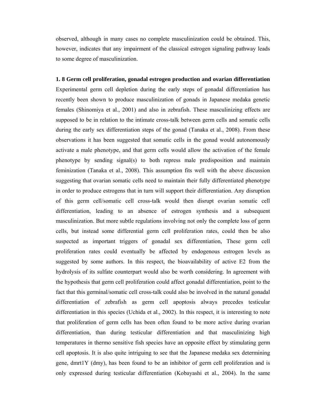observed, although in many cases no complete masculinization could be obtained. This, however, indicates that any impairment of the classical estrogen signaling pathway leads to some degree of masculinization.

### **1. 8 Germ cell proliferation, gonadal estrogen production and ovarian differentiation** Experimental germ cell depletion during the early steps of gonadal differentiation has recently been shown to produce masculinization of gonads in Japanese medaka genetic females (Shinomiya et al., 2001) and also in zebrafish. These masculinizing effects are supposed to be in relation to the intimate cross-talk between germ cells and somatic cells during the early sex differentiation steps of the gonad (Tanaka et al., 2008). From these observations it has been suggested that somatic cells in the gonad would autonomously activate a male phenotype, and that germ cells would allow the activation of the female phenotype by sending signal(s) to both repress male predisposition and maintain feminization (Tanaka et al., 2008). This assumption fits well with the above discussion suggesting that ovarian somatic cells need to maintain their fully differentiated phenotype in order to produce estrogens that in turn will support their differentiation. Any disruption of this germ cell/somatic cell cross-talk would then disrupt ovarian somatic cell differentiation, leading to an absence of estrogen synthesis and a subsequent masculinization. But more subtle regulations involving not only the complete loss of germ cells, but instead some differential germ cell proliferation rates, could then be also suspected as important triggers of gonadal sex differentiation, These germ cell proliferation rates could eventually be affected by endogenous estrogen levels as suggested by some authors. In this respect, the bioavailability of active E2 from the hydrolysis of its sulfate counterpart would also be worth considering. In agreement with the hypothesis that germ cell proliferation could affect gonadal differentiation, point to the fact that this germinal/somatic cell cross-talk could also be involved in the natural gonadal differentiation of zebrafish as germ cell apoptosis always precedes testicular differentiation in this species (Uchida et al., 2002). In this respect, it is interesting to note that proliferation of germ cells has been often found to be more active during ovarian differentiation, than during testicular differentiation and that masculinizing high temperatures in thermo sensitive fish species have an opposite effect by stimulating germ cell apoptosis. It is also quite intriguing to see that the Japanese medaka sex determining gene, dmrt1Y (dmy), has been found to be an inhibitor of germ cell proliferation and is only expressed during testicular differentiation (Kobayashi et al., 2004). In the same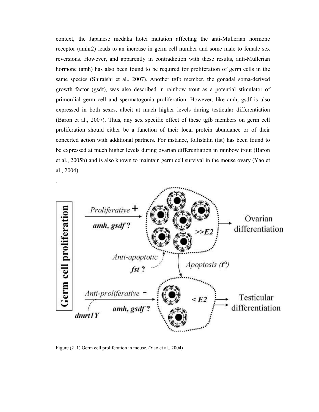context, the Japanese medaka hotei mutation affecting the anti-Mullerian hormone receptor (amhr2) leads to an increase in germ cell number and some male to female sex reversions. However, and apparently in contradiction with these results, anti-Mullerian hormone (amh) has also been found to be required for proliferation of germ cells in the same species (Shiraishi et al., 2007). Another tgfb member, the gonadal soma-derived growth factor (gsdf), was also described in rainbow trout as a potential stimulator of primordial germ cell and spermatogonia proliferation. However, like amh, gsdf is also expressed in both sexes, albeit at much higher levels during testicular differentiation (Baron et al., 2007). Thus, any sex specific effect of these tgfb members on germ cell proliferation should either be a function of their local protein abundance or of their concerted action with additional partners. For instance, follistatin (fst) has been found to be expressed at much higher levels during ovarian differentiation in rainbow trout (Baron et al., 2005b) and is also known to maintain germ cell survival in the mouse ovary (Yao et al., 2004)



Figure (2 .1) Germ cell proliferation in mouse. (Yao et al., 2004)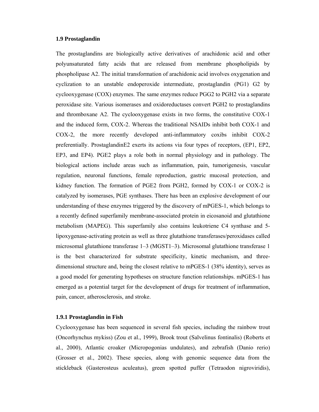#### **1.9 Prostaglandin**

The prostaglandins are biologically active derivatives of arachidonic acid and other polyunsaturated fatty acids that are released from membrane phospholipids by phospholipase A2. The initial transformation of arachidonic acid involves oxygenation and cyclization to an unstable endoperoxide intermediate, prostaglandin (PG1) G2 by cyclooxygenase (COX) enzymes. The same enzymes reduce PGG2 to PGH2 via a separate peroxidase site. Various isomerases and oxidoreductases convert PGH2 to prostaglandins and thromboxane A2. The cyclooxygenase exists in two forms, the constitutive COX-1 and the induced form, COX-2. Whereas the traditional NSAIDs inhibit both COX-1 and COX-2, the more recently developed anti-inflammatory coxibs inhibit COX-2 preferentially. ProstaglandinE2 exerts its actions via four types of receptors, (EP1, EP2, EP3, and EP4). PGE2 plays a role both in normal physiology and in pathology. The biological actions include areas such as inflammation, pain, tumorigenesis, vascular regulation, neuronal functions, female reproduction, gastric mucosal protection, and kidney function. The formation of PGE2 from PGH2, formed by COX-1 or COX-2 is catalyzed by isomerases, PGE synthases. There has been an explosive development of our understanding of these enzymes triggered by the discovery of mPGES-1, which belongs to a recently defined superfamily membrane-associated protein in eicosanoid and glutathione metabolism (MAPEG). This superfamily also contains leukotriene C4 synthase and 5 lipoxygenase-activating protein as well as three glutathione transferases/peroxidases called microsomal glutathione transferase 1–3 (MGST1–3). Microsomal glutathione transferase 1 is the best characterized for substrate specificity, kinetic mechanism, and threedimensional structure and, being the closest relative to mPGES-1 (38% identity), serves as a good model for generating hypotheses on structure function relationships. mPGES-1 has emerged as a potential target for the development of drugs for treatment of inflammation, pain, cancer, atherosclerosis, and stroke.

#### **1.9.1 Prostaglandin in Fish**

Cyclooxygenase has been sequenced in several fish species, including the rainbow trout (Oncorhynchus mykiss) (Zou et al., 1999), Brook trout (Salvelinus fontinalis) (Roberts et al., 2000), Atlantic croaker (Micropogonias undulates), and zebrafish (Danio rerio) (Grosser et al., 2002). These species, along with genomic sequence data from the stickleback (Gasterosteus aculeatus), green spotted puffer (Tetraodon nigroviridis),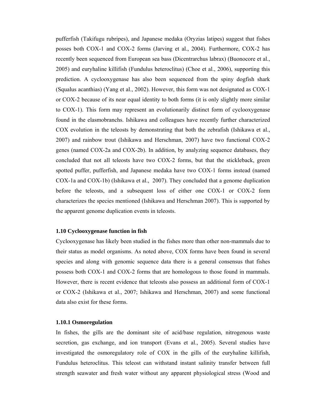pufferfish (Takifugu rubripes), and Japanese medaka (Oryzias latipes) suggest that fishes posses both COX-1 and COX-2 forms (Jarving et al., 2004). Furthermore, COX-2 has recently been sequenced from European sea bass (Dicentrarchus labrax) (Buonocore et al., 2005) and euryhaline killifish (Fundulus heteroclitus) (Choe et al., 2006), supporting this prediction. A cyclooxygenase has also been sequenced from the spiny dogfish shark (Squalus acanthias) (Yang et al., 2002). However, this form was not designated as COX-1 or COX-2 because of its near equal identity to both forms (it is only slightly more similar to COX-1). This form may represent an evolutionarily distinct form of cyclooxygenase found in the elasmobranchs. Ishikawa and colleagues have recently further characterized COX evolution in the teleosts by demonstrating that both the zebrafish (Ishikawa et al., 2007) and rainbow trout (Ishikawa and Herschman, 2007) have two functional COX-2 genes (named COX-2a and COX-2b). In addition, by analyzing sequence databases, they concluded that not all teleosts have two COX-2 forms, but that the stickleback, green spotted puffer, pufferfish, and Japanese medaka have two COX-1 forms instead (named COX-1a and COX-1b) (Ishikawa et al., 2007). They concluded that a genome duplication before the teleosts, and a subsequent loss of either one COX-1 or COX-2 form characterizes the species mentioned (Ishikawa and Herschman 2007). This is supported by the apparent genome duplication events in teleosts.

#### **1.10 Cyclooxygenase function in fish**

Cyclooxygenase has likely been studied in the fishes more than other non-mammals due to their status as model organisms. As noted above, COX forms have been found in several species and along with genomic sequence data there is a general consensus that fishes possess both COX-1 and COX-2 forms that are homologous to those found in mammals. However, there is recent evidence that teleosts also possess an additional form of COX-1 or COX-2 (Ishikawa et al., 2007; Ishikawa and Herschman, 2007) and some functional data also exist for these forms.

#### **1.10.1 Osmoregulation**

In fishes, the gills are the dominant site of acid/base regulation, nitrogenous waste secretion, gas exchange, and ion transport (Evans et al., 2005). Several studies have investigated the osmoregulatory role of COX in the gills of the euryhaline killifish, Fundulus heteroclitus. This teleost can withstand instant salinity transfer between full strength seawater and fresh water without any apparent physiological stress (Wood and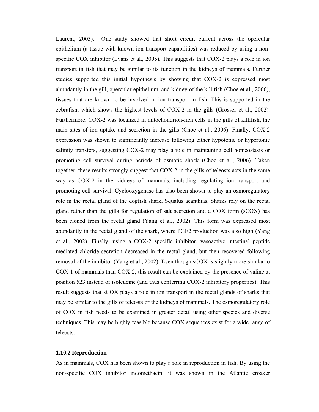Laurent, 2003). One study showed that short circuit current across the opercular epithelium (a tissue with known ion transport capabilities) was reduced by using a nonspecific COX inhibitor (Evans et al., 2005). This suggests that COX-2 plays a role in ion transport in fish that may be similar to its function in the kidneys of mammals. Further studies supported this initial hypothesis by showing that COX-2 is expressed most abundantly in the gill, opercular epithelium, and kidney of the killifish (Choe et al., 2006), tissues that are known to be involved in ion transport in fish. This is supported in the zebrafish, which shows the highest levels of COX-2 in the gills (Grosser et al., 2002). Furthermore, COX-2 was localized in mitochondrion-rich cells in the gills of killifish, the main sites of ion uptake and secretion in the gills (Choe et al., 2006). Finally, COX-2 expression was shown to significantly increase following either hypotonic or hypertonic salinity transfers, suggesting COX-2 may play a role in maintaining cell homeostasis or promoting cell survival during periods of osmotic shock (Choe et al., 2006). Taken together, these results strongly suggest that COX-2 in the gills of teleosts acts in the same way as COX-2 in the kidneys of mammals, including regulating ion transport and promoting cell survival. Cyclooxygenase has also been shown to play an osmoregulatory role in the rectal gland of the dogfish shark, Squalus acanthias. Sharks rely on the rectal gland rather than the gills for regulation of salt secretion and a COX form (sCOX) has been cloned from the rectal gland (Yang et al., 2002). This form was expressed most abundantly in the rectal gland of the shark, where PGE2 production was also high (Yang et al., 2002). Finally, using a COX-2 specific inhibitor, vasoactive intestinal peptide mediated chloride secretion decreased in the rectal gland, but then recovered following removal of the inhibitor (Yang et al., 2002). Even though sCOX is slightly more similar to COX-1 of mammals than COX-2, this result can be explained by the presence of valine at position 523 instead of isoleucine (and thus conferring COX-2 inhibitory properties). This result suggests that sCOX plays a role in ion transport in the rectal glands of sharks that may be similar to the gills of teleosts or the kidneys of mammals. The osmoregulatory role of COX in fish needs to be examined in greater detail using other species and diverse techniques. This may be highly feasible because COX sequences exist for a wide range of teleosts.

#### **1.10.2 Reproduction**

As in mammals, COX has been shown to play a role in reproduction in fish. By using the non-specific COX inhibitor indomethacin, it was shown in the Atlantic croaker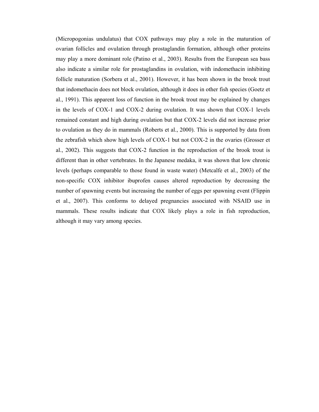(Micropogonias undulatus) that COX pathways may play a role in the maturation of ovarian follicles and ovulation through prostaglandin formation, although other proteins may play a more dominant role (Patino et al., 2003). Results from the European sea bass also indicate a similar role for prostaglandins in ovulation, with indomethacin inhibiting follicle maturation (Sorbera et al., 2001). However, it has been shown in the brook trout that indomethacin does not block ovulation, although it does in other fish species (Goetz et al., 1991). This apparent loss of function in the brook trout may be explained by changes in the levels of COX-1 and COX-2 during ovulation. It was shown that COX-1 levels remained constant and high during ovulation but that COX-2 levels did not increase prior to ovulation as they do in mammals (Roberts et al., 2000). This is supported by data from the zebrafish which show high levels of COX-1 but not COX-2 in the ovaries (Grosser et al., 2002). This suggests that COX-2 function in the reproduction of the brook trout is different than in other vertebrates. In the Japanese medaka, it was shown that low chronic levels (perhaps comparable to those found in waste water) (Metcalfe et al., 2003) of the non-specific COX inhibitor ibuprofen causes altered reproduction by decreasing the number of spawning events but increasing the number of eggs per spawning event (Flippin et al., 2007). This conforms to delayed pregnancies associated with NSAID use in mammals. These results indicate that COX likely plays a role in fish reproduction, although it may vary among species.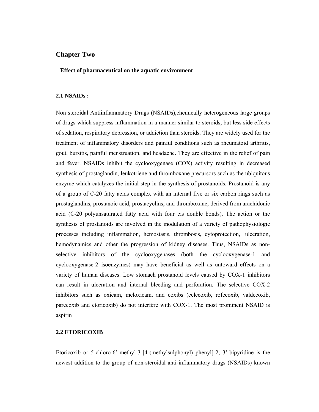#### **Chapter Two**

#### **Effect of pharmaceutical on the aquatic environment**

#### **2.1 NSAIDs :**

Non steroidal Antiinflammatory Drugs (NSAIDs),chemically heterogeneous large groups of drugs which suppress inflammation in a manner similar to steroids, but less side effects of sedation, respiratory depression, or addiction than steroids. They are widely used for the treatment of inflammatory disorders and painful conditions such as rheumatoid arthritis, gout, bursitis, painful menstruation, and headache. They are effective in the relief of pain and fever. NSAIDs inhibit the cyclooxygenase (COX) activity resulting in decreased synthesis of prostaglandin, leukotriene and thromboxane precursors such as the ubiquitous enzyme which catalyzes the initial step in the synthesis of prostanoids. Prostanoid is any of a group of C-20 fatty acids complex with an internal five or six carbon rings such as prostaglandins, prostanoic acid, prostacyclins, and thromboxane; derived from arachidonic acid (C-20 polyunsaturated fatty acid with four cis double bonds). The action or the synthesis of prostanoids are involved in the modulation of a variety of pathophysiologic processes including inflammation, hemostasis, thrombosis, cytoprotection, ulceration, hemodynamics and other the progression of kidney diseases. Thus, NSAIDs as nonselective inhibitors of the cyclooxygenases (both the cyclooxygenase-1 and cyclooxygenase-2 isoenzymes) may have beneficial as well as untoward effects on a variety of human diseases. Low stomach prostanoid levels caused by COX-1 inhibitors can result in ulceration and internal bleeding and perforation. The selective COX-2 inhibitors such as oxicam, meloxicam, and coxibs (celecoxib, rofecoxib, valdecoxib, parecoxib and etoricoxib) do not interfere with COX-1. The most prominent NSAID is aspirin

#### **2.2 ETORICOXIB**

Etoricoxib or 5-chloro-6'-methyl-3-[4-(methylsulphonyl) phenyl]-2, 3'-bipyridine is the newest addition to the group of non-steroidal anti-inflammatory drugs (NSAIDs) known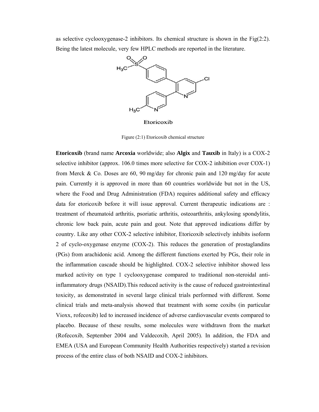as selective cyclooxygenase-2 inhibitors. Its chemical structure is shown in the Fig(2:2). Being the latest molecule, very few HPLC methods are reported in the literature.



Etoricoxib

Figure (2:1) Etoricoxib chemical structure

**Etoricoxib** (brand name **Arcoxia** worldwide; also **Algix** and **Tauxib** in Italy) is a COX-2 selective inhibitor (approx. 106.0 times more selective for COX-2 inhibition over COX-1) from Merck & Co. Doses are 60, 90 mg/day for chronic pain and 120 mg/day for acute pain. Currently it is approved in more than 60 countries worldwide but not in the US, where the Food and Drug Administration (FDA) requires additional safety and efficacy data for etoricoxib before it will issue approval. Current therapeutic indications are : treatment of rheumatoid arthritis, psoriatic arthritis, osteoarthritis, ankylosing spondylitis, chronic low back pain, acute pain and gout. Note that approved indications differ by country. Like any other COX-2 selective inhibitor, Etoricoxib selectively inhibits isoform 2 of cyclo-oxygenase enzyme (COX-2). This reduces the generation of prostaglandins (PGs) from arachidonic acid. Among the different functions exerted by PGs, their role in the inflammation cascade should be highlighted. COX-2 selective inhibitor showed less marked activity on type 1 cyclooxygenase compared to traditional non-steroidal antiinflammatory drugs (NSAID).This reduced activity is the cause of reduced gastrointestinal toxicity, as demonstrated in several large clinical trials performed with different. Some clinical trials and meta-analysis showed that treatment with some coxibs (in particular Vioxx, rofecoxib) led to increased incidence of adverse cardiovascular events compared to placebo. Because of these results, some molecules were withdrawn from the market (Rofecoxib, September 2004 and Valdecoxib, April 2005). In addition, the FDA and EMEA (USA and European Community Health Authorities respectively) started a revision process of the entire class of both NSAID and COX-2 inhibitors.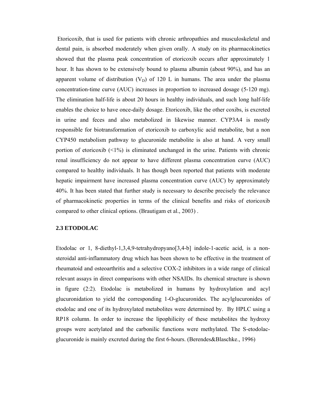Etoricoxib, that is used for patients with chronic arthropathies and musculoskeletal and dental pain, is absorbed moderately when given orally. A study on its pharmacokinetics showed that the plasma peak concentration of etoricoxib occurs after approximately 1 hour. It has shown to be extensively bound to plasma albumin (about 90%), and has an apparent volume of distribution  $(V_D)$  of 120 L in humans. The area under the plasma concentration-time curve (AUC) increases in proportion to increased dosage (5-120 mg). The elimination half-life is about 20 hours in healthy individuals, and such long half-life enables the choice to have once-daily dosage. Etoricoxib, like the other coxibs, is excreted in urine and feces and also metabolized in likewise manner. CYP3A4 is mostly responsible for biotransformation of etoricoxib to carboxylic acid metabolite, but a non CYP450 metabolism pathway to glucuronide metabolite is also at hand. A very small portion of etoricoxib  $\langle 1\% \rangle$  is eliminated unchanged in the urine. Patients with chronic renal insufficiency do not appear to have different plasma concentration curve (AUC) compared to healthy individuals. It has though been reported that patients with moderate hepatic impairment have increased plasma concentration curve (AUC) by approximately 40%. It has been stated that further study is necessary to describe precisely the relevance of pharmacokinetic properties in terms of the clinical benefits and risks of etoricoxib compared to other clinical options. (Brautigam et al., 2003) .

#### **2.3 ETODOLAC**

Etodolac or 1, 8-diethyl-1,3,4,9-tetrahydropyano[3,4-b] indole-1-acetic acid, is a nonsteroidal anti-inflammatory drug which has been shown to be effective in the treatment of rheumatoid and osteoarthritis and a selective COX-2 inhibitors in a wide range of clinical relevant assays in direct comparisons with other NSAIDs. Its chemical structure is shown in figure (2:2). Etodolac is metabolized in humans by hydroxylation and acyl glucuronidation to yield the corresponding 1-O-glucuronides. The acylglucuronides of etodolac and one of its hydroxylated metabolites were determined by. By HPLC using a RP18 column. In order to increase the lipophilicity of these metabolites the hydroxy groups were acetylated and the carbonilic functions were methylated. The S-etodolacglucuronide is mainly excreted during the first 6-hours. (Berendes&Blaschke., 1996)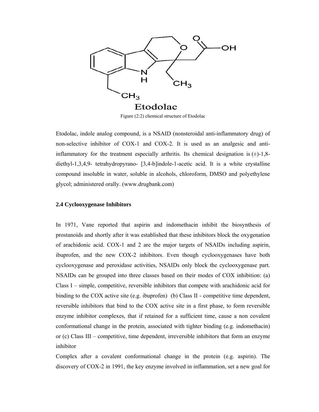

Figure (2:2) chemical structure of Etodolac

Etodolac, indole analog compound, is a NSAID (nonsteroidal anti-inflammatory drug) of non-selective inhibitor of COX-1 and COX-2. It is used as an analgesic and antiinflammatory for the treatment especially arthritis. Its chemical designation is  $(\pm)$ -1,8diethyl-1,3,4,9- tetrahydropyrano- [3,4-b]indole-1-acetic acid. It is a white crystalline compound insoluble in water, soluble in alcohols, chloroform, DMSO and polyethylene glycol; administered orally. (www.drugbank.com)

#### **2.4 Cyclooxygenase Inhibitors**

In 1971, Vane reported that aspirin and indomethacin inhibit the biosynthesis of prostanoids and shortly after it was established that these inhibitors block the oxygenation of arachidonic acid. COX-1 and 2 are the major targets of NSAIDs including aspirin, ibuprofen, and the new COX-2 inhibitors. Even though cyclooxygenases have both cyclooxygenase and peroxidase activities, NSAIDs only block the cyclooxygenase part. NSAIDs can be grouped into three classes based on their modes of COX inhibition: (a) Class I – simple, competitive, reversible inhibitors that compete with arachidonic acid for binding to the COX active site (e.g. ibuprofen) (b) Class II - competitive time dependent, reversible inhibitors that bind to the COX active site in a first phase, to form reversible enzyme inhibitor complexes, that if retained for a sufficient time, cause a non covalent conformational change in the protein, associated with tighter binding (e.g. indomethacin) or (c) Class III – competitive, time dependent, irreversible inhibitors that form an enzyme inhibitor

Complex after a covalent conformational change in the protein (e.g. aspirin). The discovery of COX-2 in 1991, the key enzyme involved in inflammation, set a new goal for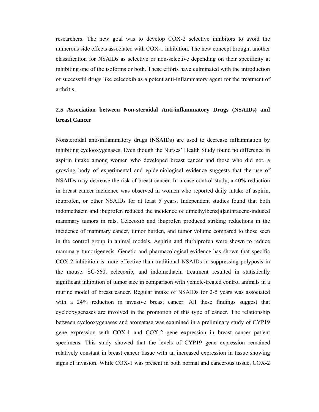researchers. The new goal was to develop COX-2 selective inhibitors to avoid the numerous side effects associated with COX-1 inhibition. The new concept brought another classification for NSAIDs as selective or non-selective depending on their specificity at inhibiting one of the isoforms or both. These efforts have culminated with the introduction of successful drugs like celecoxib as a potent anti-inflammatory agent for the treatment of arthritis.

### **2.5 Association between Non-steroidal Anti-inflammatory Drugs (NSAIDs) and breast Cancer**

Nonsteroidal anti-inflammatory drugs (NSAIDs) are used to decrease inflammation by inhibiting cyclooxygenases. Even though the Nurses' Health Study found no difference in aspirin intake among women who developed breast cancer and those who did not, a growing body of experimental and epidemiological evidence suggests that the use of NSAIDs may decrease the risk of breast cancer. In a case-control study, a 40% reduction in breast cancer incidence was observed in women who reported daily intake of aspirin, ibuprofen, or other NSAIDs for at least 5 years. Independent studies found that both indomethacin and ibuprofen reduced the incidence of dimethylbenz[a]anthracene-induced mammary tumors in rats. Celecoxib and ibuprofen produced striking reductions in the incidence of mammary cancer, tumor burden, and tumor volume compared to those seen in the control group in animal models. Aspirin and flurbiprofen were shown to reduce mammary tumorigenesis. Genetic and pharmacological evidence has shown that specific COX-2 inhibition is more effective than traditional NSAIDs in suppressing polyposis in the mouse. SC-560, celecoxib, and indomethacin treatment resulted in statistically significant inhibition of tumor size in comparison with vehicle-treated control animals in a murine model of breast cancer. Regular intake of NSAIDs for 2-5 years was associated with a 24% reduction in invasive breast cancer. All these findings suggest that cyclooxygenases are involved in the promotion of this type of cancer. The relationship between cyclooxygenases and aromatase was examined in a preliminary study of CYP19 gene expression with COX-1 and COX-2 gene expression in breast cancer patient specimens. This study showed that the levels of CYP19 gene expression remained relatively constant in breast cancer tissue with an increased expression in tissue showing signs of invasion. While COX-1 was present in both normal and cancerous tissue, COX-2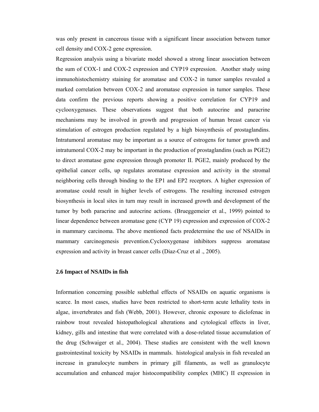was only present in cancerous tissue with a significant linear association between tumor cell density and COX-2 gene expression.

Regression analysis using a bivariate model showed a strong linear association between the sum of COX-1 and COX-2 expression and CYP19 expression. Another study using immunohistochemistry staining for aromatase and COX-2 in tumor samples revealed a marked correlation between COX-2 and aromatase expression in tumor samples. These data confirm the previous reports showing a positive correlation for CYP19 and cyclooxygenases. These observations suggest that both autocrine and paracrine mechanisms may be involved in growth and progression of human breast cancer via stimulation of estrogen production regulated by a high biosynthesis of prostaglandins. Intratumoral aromatase may be important as a source of estrogens for tumor growth and intratumoral COX-2 may be important in the production of prostaglandins (such as PGE2) to direct aromatase gene expression through promoter II. PGE2, mainly produced by the epithelial cancer cells, up regulates aromatase expression and activity in the stromal neighboring cells through binding to the EP1 and EP2 receptors. A higher expression of aromatase could result in higher levels of estrogens. The resulting increased estrogen biosynthesis in local sites in turn may result in increased growth and development of the tumor by both paracrine and autocrine actions. (Brueggemeier et al., 1999) pointed to linear dependence between aromatase gene (CYP 19) expression and expression of COX-2 in mammary carcinoma. The above mentioned facts predetermine the use of NSAIDs in mammary carcinogenesis prevention.Cyclooxygenase inhibitors suppress aromatase expression and activity in breast cancer cells (Diaz-Cruz et al ., 2005).

#### **2.6 Impact of NSAIDs in fish**

Information concerning possible sublethal effects of NSAIDs on aquatic organisms is scarce. In most cases, studies have been restricted to short-term acute lethality tests in algae, invertebrates and fish (Webb, 2001). However, chronic exposure to diclofenac in rainbow trout revealed histopathological alterations and cytological effects in liver, kidney, gills and intestine that were correlated with a dose-related tissue accumulation of the drug (Schwaiger et al., 2004). These studies are consistent with the well known gastrointestinal toxicity by NSAIDs in mammals. histological analysis in fish revealed an increase in granulocyte numbers in primary gill filaments, as well as granulocyte accumulation and enhanced major histocompatibility complex (MHC) II expression in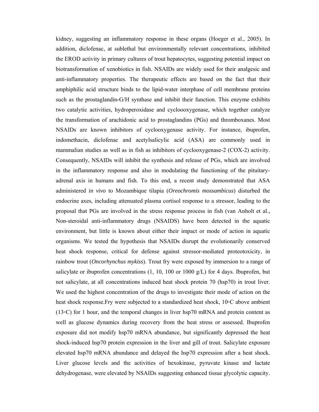kidney, suggesting an inflammatory response in these organs (Hoeger et al., 2005). In addition, diclofenac, at sublethal but environmentally relevant concentrations, inhibited the EROD activity in primary cultures of trout hepatocytes, suggesting potential impact on biotransformation of xenobiotics in fish. NSAIDs are widely used for their analgesic and anti-inflammatory properties. The therapeutic effects are based on the fact that their amphiphilic acid structure binds to the lipid-water interphase of cell membrane proteins such as the prostaglandin-G/H synthase and inhibit their function. This enzyme exhibits two catalytic activities, hydroperoxidase and cycloooxygenase, which together catalyze the transformation of arachidonic acid to prostaglandins (PGs) and thromboxanes. Most NSAIDs are known inhibitors of cyclooxygenase activity. For instance, ibuprofen, indomethacin, diclofenac and acetylsalicylic acid (ASA) are commonly used in mammalian studies as well as in fish as inhibitors of cyclooxygenase-2 (COX-2) activity. Consequently, NSAIDs will inhibit the synthesis and release of PGs, which are involved in the inflammatory response and also in modulating the functioning of the pituitaryadrenal axis in humans and fish. To this end, a recent study demonstrated that ASA administered *in vivo* to Mozambique tilapia (*Oreochromis mossambicus*) disturbed the endocrine axes, including attenuated plasma cortisol response to a stressor, leading to the proposal that PGs are involved in the stress response process in fish (van Anholt et al., Non-steroidal anti-inflammatory drugs (NSAIDS) have been detected in the aquatic environment, but little is known about either their impact or mode of action in aquatic organisms. We tested the hypothesis that NSAIDs disrupt the evolutionarily conserved heat shock response, critical for defense against stressor-mediated proteotoxicity, in rainbow trout (*Oncorhynchus mykiss*). Trout fry were exposed by immersion to a range of salicylate or ibuprofen concentrations (1, 10, 100 or 1000 g/L) for 4 days. Ibuprofen, but not salicylate, at all concentrations induced heat shock protein 70 (hsp70) in trout liver. We used the highest concentration of the drugs to investigate their mode of action on the heat shock response.Fry were subjected to a standardized heat shock, 10◦C above ambient  $(13<sup>o</sup>C) for 1 hour, and the temporal changes in liver hsp70 mRNA and protein content as$ well as glucose dynamics during recovery from the heat stress or assessed. Ibuprofen exposure did not modify hsp70 mRNA abundance, but significantly depressed the heat shock-induced hsp70 protein expression in the liver and gill of trout. Salicylate exposure elevated hsp70 mRNA abundance and delayed the hsp70 expression after a heat shock. Liver glucose levels and the activities of hexokinase, pyruvate kinase and lactate dehydrogenase, were elevated by NSAIDs suggesting enhanced tissue glycolytic capacity.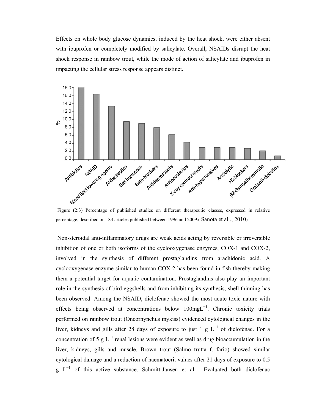Effects on whole body glucose dynamics, induced by the heat shock, were either absent with ibuprofen or completely modified by salicylate. Overall, NSAIDs disrupt the heat shock response in rainbow trout, while the mode of action of salicylate and ibuprofen in impacting the cellular stress response appears distinct.



percentage, described on 183 articles published between 1996 and 2009.( Sanota et al ., 2010)

 Non-steroidal anti-inflammatory drugs are weak acids acting by reversible or irreversible inhibition of one or both isoforms of the cyclooxygenase enzymes, COX-1 and COX-2, involved in the synthesis of different prostaglandins from arachidonic acid. A cyclooxygenase enzyme similar to human COX-2 has been found in fish thereby making them a potential target for aquatic contamination. Prostaglandins also play an important role in the synthesis of bird eggshells and from inhibiting its synthesis, shell thinning has been observed. Among the NSAID, diclofenac showed the most acute toxic nature with effects being observed at concentrations below 100mgL<sup>−</sup><sup>1</sup> . Chronic toxicity trials performed on rainbow trout (Oncorhynchus mykiss) evidenced cytological changes in the liver, kidneys and gills after 28 days of exposure to just 1 g  $L^{-1}$  of diclofenac. For a concentration of 5 g  $L^{-1}$  renal lesions were evident as well as drug bioaccumulation in the liver, kidneys, gills and muscle. Brown trout (Salmo trutta f. fario) showed similar cytological damage and a reduction of haematocrit values after 21 days of exposure to 0.5  $g L^{-1}$  of this active substance. Schmitt-Jansen et al. Evaluated both diclofenac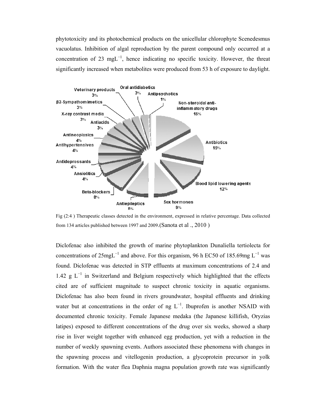phytotoxicity and its photochemical products on the unicellular chlorophyte Scenedesmus vacuolatus. Inhibition of algal reproduction by the parent compound only occurred at a concentration of 23 mgL<sup>−</sup><sup>1</sup> , hence indicating no specific toxicity. However, the threat significantly increased when metabolites were produced from 53 h of exposure to daylight.



Fig (2:4 ) Therapeutic classes detected in the environment, expressed in relative percentage. Data collected from 134 articles published between 1997 and 2009.(Sanota et al ., 2010 )

Diclofenac also inhibited the growth of marine phytoplankton Dunaliella tertiolecta for concentrations of  $25$ mg $L^{-1}$  and above. For this organism, 96 h EC50 of 185.69mg  $L^{-1}$  was found. Diclofenac was detected in STP effluents at maximum concentrations of 2.4 and 1.42  $g L^{-1}$  in Switzerland and Belgium respectively which highlighted that the effects cited are of sufficient magnitude to suspect chronic toxicity in aquatic organisms. Diclofenac has also been found in rivers groundwater, hospital effluents and drinking water but at concentrations in the order of ng  $L^{-1}$ . Ibuprofen is another NSAID with documented chronic toxicity. Female Japanese medaka (the Japanese killifish, Oryzias latipes) exposed to different concentrations of the drug over six weeks, showed a sharp rise in liver weight together with enhanced egg production, yet with a reduction in the number of weekly spawning events. Authors associated these phenomena with changes in the spawning process and vitellogenin production, a glycoprotein precursor in yolk formation. With the water flea Daphnia magna population growth rate was significantly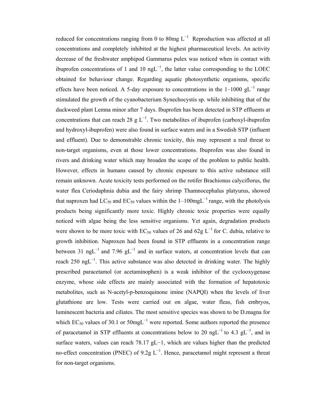reduced for concentrations ranging from 0 to 80mg  $L^{-1}$  Reproduction was affected at all concentrations and completely inhibited at the highest pharmaceutical levels. An activity decrease of the freshwater amphipod Gammarus pulex was noticed when in contact with ibuprofen concentrations of 1 and 10  $ngL^{-1}$ , the latter value corresponding to the LOEC obtained for behaviour change. Regarding aquatic photosynthetic organisms, specific effects have been noticed. A 5-day exposure to concentrations in the  $1-1000 \text{ gL}^{-1}$  range stimulated the growth of the cyanobacterium Synechocystis sp. while inhibiting that of the duckweed plant Lemna minor after 7 days. Ibuprofen has been detected in STP effluents at concentrations that can reach 28 g  $L^{-1}$ . Two metabolites of ibuprofen (carboxyl-ibuprofen and hydroxyl-ibuprofen) were also found in surface waters and in a Swedish STP (influent and effluent). Due to demonstrable chronic toxicity, this may represent a real threat to non-target organisms, even at those lower concentrations. Ibuprofen was also found in rivers and drinking water which may broaden the scope of the problem to public health. However, effects in humans caused by chronic exposure to this active substance still remain unknown. Acute toxicity tests performed on the rotifer Brachionus calyciflorus, the water flea Ceriodaphnia dubia and the fairy shrimp Thamnocephalus platyurus, showed that naproxen had LC<sub>50</sub> and EC<sub>50</sub> values within the 1–100mgL<sup>-1</sup> range, with the photolysis products being significantly more toxic. Highly chronic toxic properties were equally noticed with algae being the less sensitive organisms. Yet again, degradation products were shown to be more toxic with EC<sub>50</sub> values of 26 and 62g L<sup>-1</sup> for C. dubia, relative to growth inhibition. Naproxen had been found in STP effluents in a concentration range between 31 ngL<sup>-1</sup> and 7.96 gL<sup>-1</sup> and in surface waters, at concentration levels that can reach 250 ng L<sup>-1</sup>. This active substance was also detected in drinking water. The highly prescribed paracetamol (or acetaminophen) is a weak inhibitor of the cyclooxygenase enzyme, whose side effects are mainly associated with the formation of hepatotoxic metabolites, such as N-acetyl-p-benzoquinone imine (NAPQI) when the levels of liver glutathione are low. Tests were carried out on algae, water fleas, fish embryos, luminescent bacteria and ciliates. The most sensitive species was shown to be D.magna for which  $EC_{50}$  values of 30.1 or 50mgL<sup>-1</sup> were reported. Some authors reported the presence of paracetamol in STP effluents at concentrations below to 20 ngL<sup>-1</sup> to 4.3 gL<sup>-1</sup>, and in surface waters, values can reach 78.17 gL−1, which are values higher than the predicted no-effect concentration (PNEC) of 9.2g  $L^{-1}$ . Hence, paracetamol might represent a threat for non-target organisms.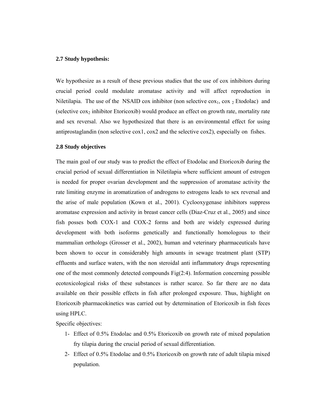#### **2.7 Study hypothesis:**

We hypothesize as a result of these previous studies that the use of cox inhibitors during crucial period could modulate aromatase activity and will affect reproduction in Niletilapia. The use of the NSAID cox inhibitor (non selective  $\cos_1$ ,  $\cos_2$  Etodolac) and (selective  $\cos_2$  inhibitor Etoricoxib) would produce an effect on growth rate, mortality rate and sex reversal. Also we hypothesized that there is an environmental effect for using antiprostaglandin (non selective cox1, cox2 and the selective cox2), especially on fishes.

#### **2.8 Study objectives**

The main goal of our study was to predict the effect of Etodolac and Etoricoxib during the crucial period of sexual differentiation in Niletilapia where sufficient amount of estrogen is needed for proper ovarian development and the suppression of aromatase activity the rate limiting enzyme in aromatization of androgens to estrogens leads to sex reversal and the arise of male population (Kown et al., 2001). Cyclooxygenase inhibitors suppress aromatase expression and activity in breast cancer cells (Diaz-Cruz et al., 2005) and since fish posses both COX-1 and COX-2 forms and both are widely expressed during development with both isoforms genetically and functionally homologous to their mammalian orthologs (Grosser et al., 2002), human and veterinary pharmaceuticals have been shown to occur in considerably high amounts in sewage treatment plant (STP) effluents and surface waters, with the non steroidal anti inflammatory drugs representing one of the most commonly detected compounds  $Fig(2.4)$ . Information concerning possible ecotoxicological risks of these substances is rather scarce. So far there are no data available on their possible effects in fish after prolonged exposure. Thus, highlight on Etoricoxib pharmacokinetics was carried out by determination of Etoricoxib in fish feces using HPLC.

Specific objectives:

- 1- Effect of 0.5% Etodolac and 0.5% Etoricoxib on growth rate of mixed population fry tilapia during the crucial period of sexual differentiation.
- 2- Effect of 0.5% Etodolac and 0.5% Etoricoxib on growth rate of adult tilapia mixed population.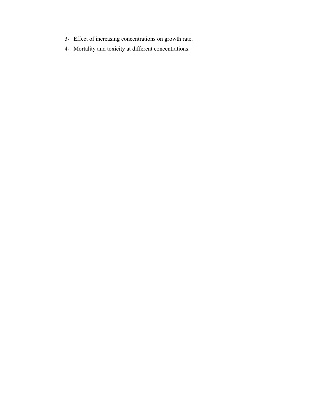- 3- Effect of increasing concentrations on growth rate.
- 4- Mortality and toxicity at different concentrations.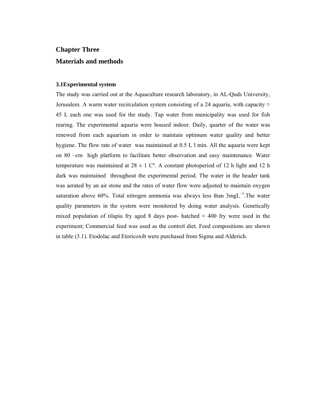# **Chapter Three Materials and methods**

#### **3.1Experimental system**

The study was carried out at the Aquaculture research laboratory, in AL-Quds University, Jerusalem. A warm water recirculation system consisting of a 24 aquaria, with capacity  $\approx$ 45 L each one was used for the study. Tap water from municipality was used for fish rearing. The experimental aquaria were housed indoor. Daily, quarter of the water was renewed from each aquarium in order to maintain optimum water quality and better hygiene. The flow rate of water was maintained at 0.5 L l min. All the aquaria were kept on 80 –cm high platform to facilitate better observation and easy maintenance. Water temperature was maintained at  $28 \pm 1$  C°. A constant photoperiod of 12 h light and 12 h dark was maintained throughout the experimental period. The water in the header tank was aerated by an air stone and the rates of water flow were adjusted to maintain oxygen saturation above 60%. Total nitrogen ammonia was always less than 3mgL<sup>-1</sup>. The water quality parameters in the system were monitored by doing water analysis. Genetically mixed population of tilapia fry aged 8 days post- hatched  $\approx$  400 fry were used in the experiment; Commercial feed was used as the control diet. Feed compositions are shown in table (3.1). Etodolac and Etoricoxib were purchased from Sigma and Alderich.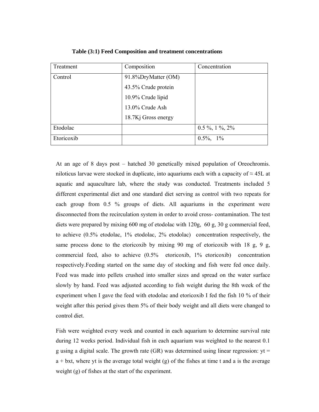| Treatment  | Composition         | Concentration    |
|------------|---------------------|------------------|
| Control    | 91.8%DryMatter (OM) |                  |
|            | 43.5% Crude protein |                  |
|            | 10.9% Crude lipid   |                  |
|            | 13.0% Crude Ash     |                  |
|            | 18.7Kj Gross energy |                  |
| Etodolac   |                     | $0.5\%$ , 1%, 2% |
| Etoricoxib |                     | $0.5\%$ , 1%     |

 **Table (3:1) Feed Composition and treatment concentrations** 

At an age of 8 days post – hatched 30 genetically mixed population of Oreochromis. niloticus larvae were stocked in duplicate, into aquariums each with a capacity of  $\approx 45$ L at aquatic and aquaculture lab, where the study was conducted. Treatments included 5 different experimental diet and one standard diet serving as control with two repeats for each group from 0.5 % groups of diets. All aquariums in the experiment were disconnected from the recirculation system in order to avoid cross- contamination. The test diets were prepared by mixing 600 mg of etodolac with 120g, 60 g, 30 g commercial feed, to achieve (0.5% etodolac, 1% etodolac, 2% etodolac) concentration respectively, the same process done to the etoricoxib by mixing 90 mg of etoricoxib with 18 g, 9 g, commercial feed, also to achieve (0.5% etoricoxib, 1% etoricoxib) concentration respectively.Feeding started on the same day of stocking and fish were fed once daily. Feed was made into pellets crushed into smaller sizes and spread on the water surface slowly by hand. Feed was adjusted according to fish weight during the 8th week of the experiment when I gave the feed with etodolac and etoricoxib I fed the fish 10 % of their weight after this period gives them 5% of their body weight and all diets were changed to control diet.

Fish were weighted every week and counted in each aquarium to determine survival rate during 12 weeks period. Individual fish in each aquarium was weighted to the nearest 0.1 g using a digital scale. The growth rate  $(GR)$  was determined using linear regression:  $yt =$  $a + bxt$ , where yt is the average total weight (g) of the fishes at time t and a is the average weight (g) of fishes at the start of the experiment.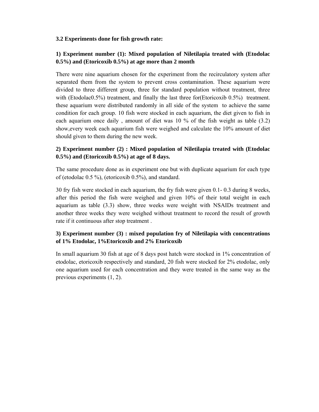### **3.2 Experiments done for fish growth rate:**

## **1) Experiment number (1): Mixed population of Niletilapia treated with (Etodolac 0.5%) and (Etoricoxib 0.5%) at age more than 2 month**

There were nine aquarium chosen for the experiment from the recirculatory system after separated them from the system to prevent cross contamination. These aquarium were divided to three different group, three for standard population without treatment, three with (Etodolac0.5%) treatment, and finally the last three for (Etoricoxib 0.5%) treatment. these aquarium were distributed randomly in all side of the system to achieve the same condition for each group. 10 fish were stocked in each aquarium, the diet given to fish in each aquarium once daily , amount of diet was 10 % of the fish weight as table (3.2) show,every week each aquarium fish were weighed and calculate the 10% amount of diet should given to them during the new week.

### **2) Experiment number (2) : Mixed population of Niletilapia treated with (Etodolac 0.5%) and (Etoricoxib 0.5%) at age of 8 days.**

The same procedure done as in experiment one but with duplicate aquarium for each type of (etodolac 0.5 %), (etoricoxib 0.5%), and standard.

30 fry fish were stocked in each aquarium, the fry fish were given 0.1- 0.3 during 8 weeks, after this period the fish were weighed and given 10% of their total weight in each aquarium as table (3.3) show, three weeks were weight with NSAIDs treatment and another three weeks they were weighed without treatment to record the result of growth rate if it continuous after stop treatment .

# **3) Experiment number (3) : mixed population fry of Niletilapia with concentrations of 1% Etodolac, 1%Etoricoxib and 2% Etoricoxib**

In small aquarium 30 fish at age of 8 days post hatch were stocked in 1% concentration of etodolac, etoricoxib respectively and standard, 20 fish were stocked for 2% etodolac, only one aquarium used for each concentration and they were treated in the same way as the previous experiments (1, 2).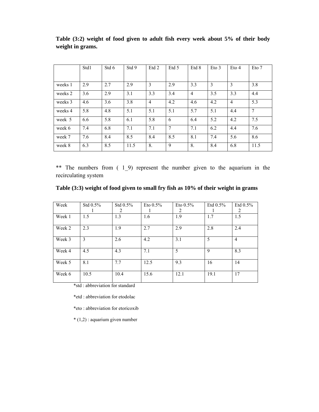|         | Std1 | Std 6 | Std 9 | Etd 2          | Etd 5          | Etd 8          | $E$ to 3 | $E$ to 4       | Eto 7          |
|---------|------|-------|-------|----------------|----------------|----------------|----------|----------------|----------------|
|         |      |       |       |                |                |                |          |                |                |
| weeks 1 | 2.9  | 2.7   | 2.9   | 3              | 2.9            | 3.3            | 3        | 3              | 3.8            |
| weeks 2 | 3.6  | 2.9   | 3.1   | 3.3            | 3.4            | $\overline{4}$ | 3.5      | 3.3            | 4.4            |
| weeks 3 | 4.6  | 3.6   | 3.8   | $\overline{4}$ | 4.2            | 4.6            | 4.2      | $\overline{4}$ | 5.3            |
| weeks 4 | 5.8  | 4.8   | 5.1   | 5.1            | 5.1            | 5.7            | 5.1      | 4.4            | $\overline{7}$ |
| week 5  | 6.6  | 5.8   | 6.1   | 5.8            | 6              | 6.4            | 5.2      | 4.2            | 7.5            |
| week 6  | 7.4  | 6.8   | 7.1   | 7.1            | $\overline{7}$ | 7.1            | 6.2      | 4.4            | 7.6            |
| week 7  | 7.6  | 8.4   | 8.5   | 8.4            | 8.5            | 8.1            | 7.4      | 5.6            | 8.6            |
| week 8  | 6.3  | 8.5   | 11.5  | 8.             | 9              | 8.             | 8.4      | 6.8            | 11.5           |

**Table (3:2) weight of food given to adult fish every week about 5% of their body weight in grams.** 

\*\* The numbers from ( 1\_9) represent the number given to the aquarium in the recirculating system

|  |  |  | Table (3:3) weight of food given to small fry fish as 10% of their weight in grams |
|--|--|--|------------------------------------------------------------------------------------|
|  |  |  |                                                                                    |

| Week   | Std 0.5% | Std $0.5\%$ | Eto $0.5\%$ | Eto $0.5\%$ | Etd $0.5\%$  | Etd $0.5\%$    |
|--------|----------|-------------|-------------|-------------|--------------|----------------|
|        |          | 2           |             | 2           |              | 2              |
| Week 1 | 1.5      | 1.3         | 1.6         | 1.9         | 1.7          | 1.5            |
| Week 2 | 2.3      | 1.9         | 2.7         | 2.9         | 2.8          | 2.4            |
| Week 3 | 3        | 2.6         | 4.2         | 3.1         | 5            | $\overline{4}$ |
| Week 4 | 4.5      | 4.3         | 7.1         | 5           | $\mathbf{Q}$ | 8.3            |
| Week 5 | 8.1      | 7.7         | 12.5        | 9.3         | 16           | 14             |
| Week 6 | 10.5     | 10.4        | 15.6        | 12.1        | 19.1         | 17             |

\*std : abbreviation for standard

\*etd : abbreviation for etodolac

\*eto : abbreviation for etoricoxib

\* (1,2) : aquarium given number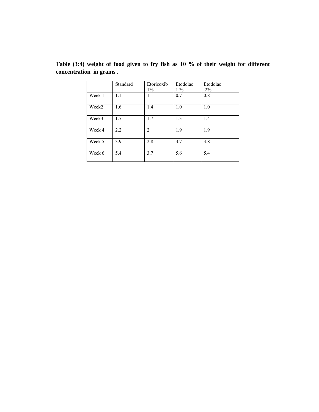|        | Standard | Etoricoxib<br>$1\%$ | Etodolac<br>$1\%$ | Etodolac<br>$2\%$ |
|--------|----------|---------------------|-------------------|-------------------|
| Week 1 | 1.1      |                     | 0.7               | 0.8               |
| Week2  | 1.6      | 1.4                 | 1.0               | 1.0               |
| Week3  | 1.7      | 1.7                 | 1.3               | 1.4               |
| Week 4 | 2.2      | 2                   | 1.9               | 1.9               |
| Week 5 | 3.9      | 2.8                 | 3.7               | 3.8               |
| Week 6 | 5.4      | 3.7                 | 5.6               | 5.4               |

**Table (3:4) weight of food given to fry fish as 10 % of their weight for different concentration in grams .**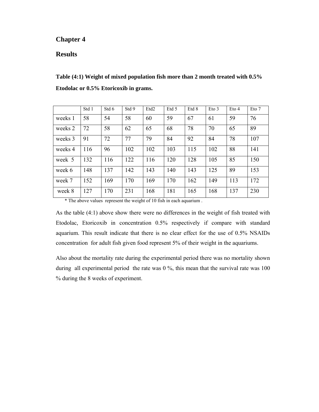## **Chapter 4**

### **Results**

**Table (4:1) Weight of mixed population fish more than 2 month treated with 0.5% Etodolac or 0.5% Etoricoxib in grams.** 

|         | Std 1 | Std 6 | Std 9 | Etd <sub>2</sub> | Etd 5 | Etd 8 | $E$ to 3 | $E$ to 4 | Eto 7 |
|---------|-------|-------|-------|------------------|-------|-------|----------|----------|-------|
| weeks 1 | 58    | 54    | 58    | 60               | 59    | 67    | 61       | 59       | 76    |
| weeks 2 | 72    | 58    | 62    | 65               | 68    | 78    | 70       | 65       | 89    |
| weeks 3 | 91    | 72    | 77    | 79               | 84    | 92    | 84       | 78       | 107   |
| weeks 4 | 116   | 96    | 102   | 102              | 103   | 115   | 102      | 88       | 141   |
| week 5  | 132   | 116   | 122   | 116              | 120   | 128   | 105      | 85       | 150   |
| week 6  | 148   | 137   | 142   | 143              | 140   | 143   | 125      | 89       | 153   |
| week 7  | 152   | 169   | 170   | 169              | 170   | 162   | 149      | 113      | 172   |
| week 8  | 127   | 170   | 231   | 168              | 181   | 165   | 168      | 137      | 230   |

\* The above values represent the weight of 10 fish in each aquarium .

As the table (4:1) above show there were no differences in the weight of fish treated with Etodolac, Etoricoxib in concentration 0.5% respectively if compare with standard aquarium. This result indicate that there is no clear effect for the use of 0.5% NSAIDs concentration for adult fish given food represent 5% of their weight in the aquariums.

Also about the mortality rate during the experimental period there was no mortality shown during all experimental period the rate was 0 %, this mean that the survival rate was 100 % during the 8 weeks of experiment.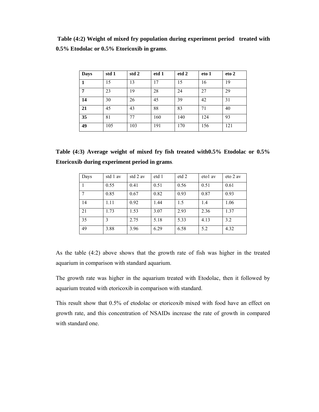**Table (4:2) Weight of mixed fry population during experiment period treated with 0.5% Etodolac or 0.5% Etoricoxib in grams**.

| <b>Days</b> | std 1 | std 2 | etd 1 | etd 2 | eto 1 | eto 2 |
|-------------|-------|-------|-------|-------|-------|-------|
|             | 15    | 13    | 17    | 15    | 16    | 19    |
| 7           | 23    | 19    | 28    | 24    | 27    | 29    |
| 14          | 30    | 26    | 45    | 39    | 42    | 31    |
| 21          | 45    | 43    | 88    | 83    | 71    | 40    |
| 35          | 81    | 77    | 160   | 140   | 124   | 93    |
| 49          | 105   | 103   | 191   | 170   | 156   | 121   |

| Table (4:3) Average weight of mixed fry fish treated with 0.5% Etodolac or 0.5% |  |  |  |  |  |
|---------------------------------------------------------------------------------|--|--|--|--|--|
| Etoricoxib during experiment period in grams.                                   |  |  |  |  |  |

| Days | std 1 av | std 2 av | etd 1 | etd 2 | eto1 av | eto 2 av |
|------|----------|----------|-------|-------|---------|----------|
|      | 0.55     | 0.41     | 0.51  | 0.56  | 0.51    | 0.61     |
| 7    | 0.85     | 0.67     | 0.82  | 0.93  | 0.87    | 0.93     |
| 14   | 1.11     | 0.92     | 1.44  | 1.5   | 1.4     | 1.06     |
| 21   | 1.73     | 1.53     | 3.07  | 2.93  | 2.36    | 1.37     |
| 35   | 3        | 2.75     | 5.18  | 5.33  | 4.13    | 3.2      |
| 49   | 3.88     | 3.96     | 6.29  | 6.58  | 5.2     | 4.32     |

As the table (4:2) above shows that the growth rate of fish was higher in the treated aquarium in comparison with standard aquarium.

The growth rate was higher in the aquarium treated with Etodolac, then it followed by aquarium treated with etoricoxib in comparison with standard.

This result show that 0.5% of etodolac or etoricoxib mixed with food have an effect on growth rate, and this concentration of NSAIDs increase the rate of growth in compared with standard one.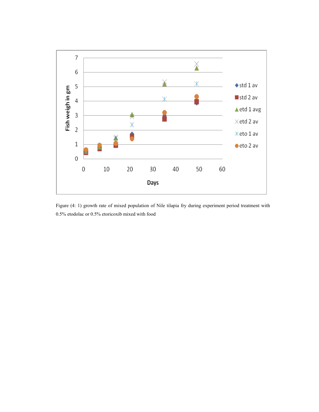

Figure (4: 1) growth rate of mixed population of Nile tilapia fry during experiment period treatment with 0.5% etodolac or 0.5% etoricoxib mixed with food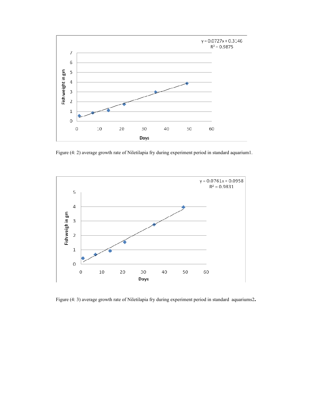

Figure (4: 2) average growth rate of Niletilapia fry during experiment period in standard aquarium1.



Figure (4: 3) average growth rate of Niletilapia fry during experiment period in standard aquariums2**.**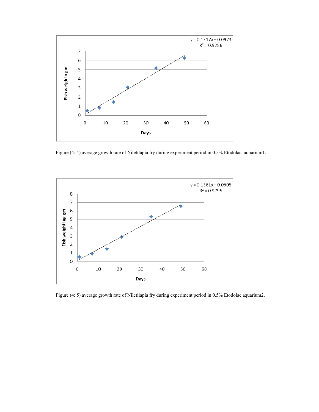

Figure (4: 4) average growth rate of Niletilapia fry during experiment period in 0.5% Etodolac aquarium1.



Figure (4: 5) average growth rate of Niletilapia fry during experiment period in 0.5% Etodolac aquarium2.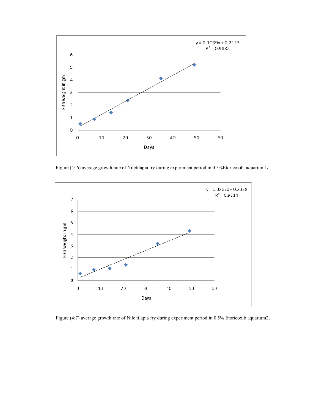

Figure (4: 6) average growth rate of Niletilapia fry during experiment period in 0.5%Etoricoxib aquarium1**.** 

![](_page_50_Figure_2.jpeg)

Figure (4:7) average growth rate of Nile tilapia fry during experiment period in 0.5% Etoricoxib aquarium2**.**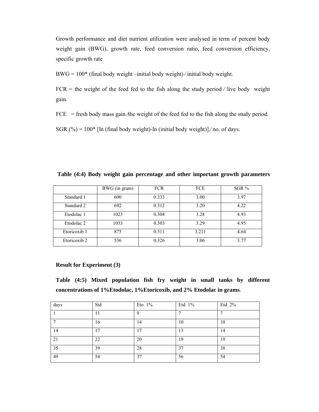Growth performance and diet nutrient utilization were analysed in term of percent body weight gain (BWG), growth rate, feed conversion ratio, feed conversion efficiency, specific growth rate

BWG = 100\* (final body weight –initial body weight) ⁄ initial body weight.

 $FCR =$  the weight of the feed fed to the fish along the study period / live body weight gain.

 $FCE$  = fresh body mass gain  $\triangle$  the weight of the feed fed to the fish along the study period.

SGR (%) =  $100*$  [ln (final body weight)-ln (initial body weight)]/no. of days.

|                       | BWG (in gram) | <b>FCR</b> | <b>FCE</b> | SGR % |
|-----------------------|---------------|------------|------------|-------|
| Standard 1            | 600           | 0.333      | 3.00       | 3.97  |
| Standard 2            | 692           | 0.312      | 3.20       | 4.22  |
| Etodolac 1            | 1023          | 0.304      | 3.28       | 4.93  |
| Etodolac <sub>2</sub> | 1033          | 0.303      | 3.29       | 4.95  |
| Etoricoxib 1          | 875           | 0.311      | 3.211      | 4.64  |
| Etoricoxib 2          | 536           | 0.326      | 3.06       | 3.77  |

**Table (4:4) Body weight gain percentage and other important growth parameters** 

#### **Result for Experiment (3)**

**Table (4:5) Mixed population fish fry weight in small tanks by different concentrations of 1%Etodolac, 1%Etoricoxib, and 2% Etodolac in grams**.

| days | Std            | Eto $1\%$ | Etd 1% | Etd 2% |
|------|----------------|-----------|--------|--------|
|      | $\blacksquare$ | a         | -      |        |
| −    | 16             | 14        | 10     | 10     |
| 14   | 7              | 17        | 13     | 14     |
| 21   | 22             | 20        | 19     | 19     |
| 35   | 39             | 28        | 37     | 38     |
| 49   | 54             | 37        | 56     | 54     |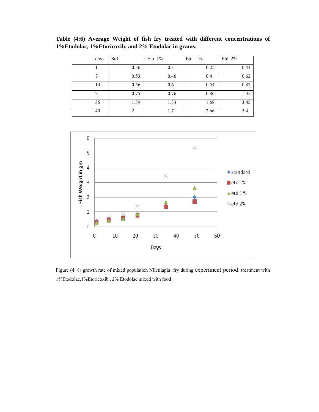**Table (4:6) Average Weight of fish fry treated with different concentrations of 1%Etodolac, 1%Etoricoxib, and 2% Etodolac in grams.** 

| days | Std            | Eto $1\%$ | Etd $1\%$ | Etd $2%$ |
|------|----------------|-----------|-----------|----------|
|      | 0.36           | 0.3       | 0.25      | 0.43     |
| 7    | 0.53           | 0.46      | 0.4       | 0.62     |
| 14   | 0.56           | 0.6       | 0.54      | 0.87     |
| 21   | 0.75           | 0.76      | 0.86      | 1.35     |
| 35   | 1.39           | 1.33      | 1.68      | 3.45     |
| 49   | $\overline{2}$ | 1.7       | 2.66      | 5.4      |

![](_page_52_Figure_2.jpeg)

Figure (4: 8) growth rate of mixed population Niletilapia fry during experiment period treatment with 1%Etodolac,1%Etoricoxib , 2% Etodolac mixed with food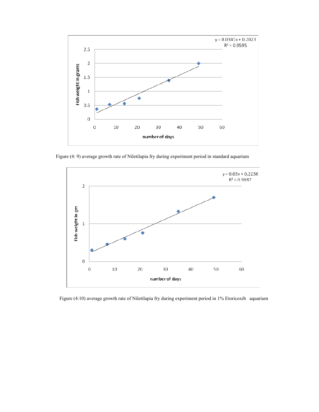![](_page_53_Figure_0.jpeg)

Figure (4: 9) average growth rate of Niletilapia fry during experiment period in standard aquarium

![](_page_53_Figure_2.jpeg)

Figure (4:10) average growth rate of Niletilapia fry during experiment period in 1% Etoricoxib aquarium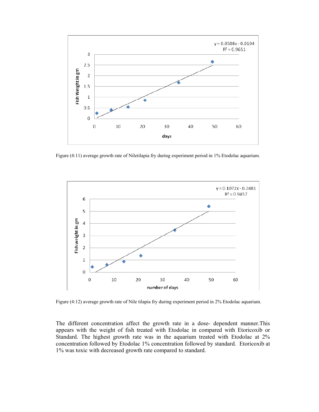![](_page_54_Figure_0.jpeg)

Figure (4:11) average growth rate of Niletilapia fry during experiment period in 1% Etodolac aquarium.

![](_page_54_Figure_2.jpeg)

Figure (4:12) average growth rate of Nile tilapia fry during experiment period in 2% Etodolac aquarium.

The different concentration affect the growth rate in a dose- dependent manner.This appears with the weight of fish treated with Etodolac in compared with Etoricoxib or Standard. The highest growth rate was in the aquarium treated with Etodolac at 2% concentration followed by Etodolac 1% concentration followed by standard. Etoricoxib at 1% was toxic with decreased growth rate compared to standard.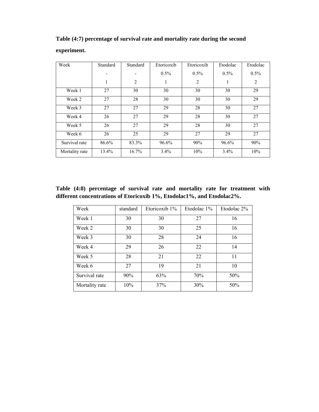| Week           | Standard     | Standard | Etoricoxib | Etoricoxib     | Etodolac | Etodolac       |
|----------------|--------------|----------|------------|----------------|----------|----------------|
|                |              |          | $0.5\%$    | $0.5\%$        | $0.5\%$  | $0.5\%$        |
|                | $\mathbf{1}$ | 2        | 1          | $\overline{2}$ | 1        | $\overline{2}$ |
| Week 1         | 27           | 30       | 30         | 30             | 30       | 29             |
| Week 2         | 27           | 28       | 30         | 30             | 30       | 29             |
| Week 3         | 27           | 27       | 29         | 28             | 30       | 27             |
| Week 4         | 26           | 27       | 29         | 28             | 30       | 27             |
| Week 5         | 26           | 27       | 29         | 28             | 30       | 27             |
| Week 6         | 26           | 25       | 29         | 27             | 29       | 27             |
| Survival rate  | 86.6%        | 83.3%    | 96.6%      | 90%            | 96.6%    | 90%            |
| Mortality rate | 13.4%        | 16.7%    | 3.4%       | 10%            | 3.4%     | 10%            |

**Table (4:7) percentage of survival rate and mortality rate during the second** 

# **experiment.**

**Table (4:8) percentage of survival rate and mortality rate for treatment with different concentrations of Etoricoxib 1%, Etodolac1%, and Etodolac2%.** 

| Week           | standard | Etoricoxib $1\%$ | Etodolac 1% | Etodolac 2% |
|----------------|----------|------------------|-------------|-------------|
| Week 1         | 30       | 30               | 27          | 16          |
| Week 2         | 30       | 30               | 25          | 16          |
| Week 3         | 30       | 28               | 24          | 16          |
| Week 4         | 29       | 26               | 22          | 14          |
| Week 5         | 28       | 21               | 22          | 11          |
| Week 6         | 27       | 19               | 21          | 10          |
| Survival rate  | 90%      | 63%              | 70%         | 50%         |
| Mortality rate | 10%      | 37%              | 30%         | 50%         |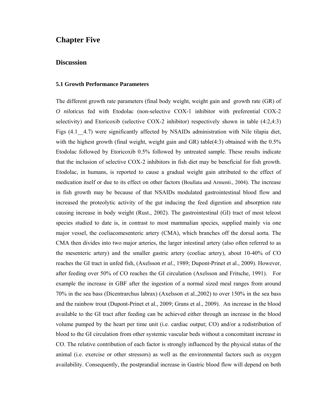# **Chapter Five**

### **Discussion**

#### **5.1 Growth Performance Parameters**

The different growth rate parameters (final body weight, weight gain and growth rate (GR) of *O niloticus* fed with Etodolac (non-selective COX-1 inhibitor with preferential COX-2 selectivity) and Etoricoxib (selective COX-2 inhibitor) respectively shown in table (4:2,4:3) Figs (4.1 - 4.7) were significantly affected by NSAIDs administration with Nile tilapia diet, with the highest growth (final weight, weight gain and GR) table(4:3) obtained with the  $0.5\%$ Etodolac followed by Etoricoxib 0.5% followed by untreated sample. These results indicate that the inclusion of selective COX-2 inhibitors in fish diet may be beneficial for fish growth. Etodolac, in humans, is reported to cause a gradual weight gain attributed to the effect of medication itself or due to its effect on other factors (Boullata and Armenti., 2004). The increase in fish growth may be because of that NSAIDs modulated gastrointestinal blood flow and increased the proteolytic activity of the gut inducing the feed digestion and absorption rate causing increase in body weight (Rust., 2002). The gastrointestinal (GI) tract of most teleost species studied to date is, in contrast to most mammalian species, supplied mainly via one major vessel, the coeliacomesenteric artery (CMA), which branches off the dorsal aorta. The CMA then divides into two major arteries, the larger intestinal artery (also often referred to as the mesenteric artery) and the smaller gastric artery (coeliac artery), about 10-40% of CO reaches the GI tract in unfed fish, (Axelsson *et al*., 1989; Dupont-Prinet et al., 2009). However, after feeding over 50% of CO reaches the GI circulation (Axelsson and Fritsche, 1991). For example the increase in GBF after the ingestion of a normal sized meal ranges from around 70% in the sea bass (Dicentrarchus labrax) (Axelsson et al.,2002) to over 150% in the sea bass and the rainbow trout (Dupont-Prinet et al., 2009; Grans et al., 2009). An increase in the blood available to the GI tract after feeding can be achieved either through an increase in the blood volume pumped by the heart per time unit (i.e. cardiac output; CO) and/or a redistribution of blood to the GI circulation from other systemic vascular beds without a concomitant increase in CO. The relative contribution of each factor is strongly influenced by the physical status of the animal (i.e. exercise or other stressors) as well as the environmental factors such as oxygen availability. Consequently, the postprandial increase in Gastric blood flow will depend on both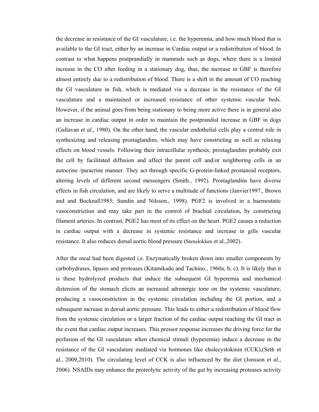the decrease in resistance of the GI vasculature, i.e. the hyperemia, and how much blood that is available to the GI tract, either by an increase in Cardiac output or a redistribution of blood. In contrast to what happens postprandially in mammals such as dogs, where there is a limited increase in the CO after feeding in a stationary dog, thus, the increase in GBF is therefore almost entirely due to a redistribution of blood. There is a shift in the amount of CO reaching the GI vasculature in fish, which is mediated via a decrease in the resistance of the GI vasculature and a maintained or increased resistance of other systemic vascular beds. However, if the animal goes from being stationary to being more active there is in general also an increase in cardiac output in order to maintain the postprandial increase in GBF in dogs (Gallavan *et al.*, 1980). On the other hand, the vascular endothelial cells play a central role in synthesizing and releasing prostaglandins, which may have constricting as well as relaxing effects on blood vessels. Following their intracellular synthesis, prostaglandins probably exit the cell by facilitated diffusion and affect the parent cell and/or neighboring cells in an autocrine /paracrine manner. They act through specific G-protein-linked prostanoid receptors, altering levels of different second messengers (Smith., 1992). Prostaglandins have diverse effects in fish circulation, and are likely to serve a multitude of functions (Janvier1997., Brown and and Bucknall1985; Sundin and Nilsson., 1998). PGF2 is involved in a haemostatic vasoconstriction and may take part in the control of brachial circulation, by constricting filament arteries. In contrast, PGE2 has most of its effect on the heart. PGE2 causes a reduction in cardiac output with a decrease in systemic resistance and increase in gills vascular resistance. It also reduces dorsal aortic blood pressure (Stenslokken et al.,2002).

After the meal had been digested i.e. Enzymatically broken down into smaller components by carbohydrases, lipases and proteases (Kitamikado and Tachino., 1960a, b, c). It is likely that it is these hydrolyzed products that induce the subsequent GI hyperemia and mechanical distension of the stomach elicits an increased adrenergic tone on the systemic vasculature, producing a vasoconstriction in the systemic circulation including the GI portion, and a subsequent increase in dorsal aortic pressure. This leads to either a redistribution of blood flow from the systemic circulation or a larger fraction of the cardiac output reaching the GI tract in the event that cardiac output increases. This pressor response increases the driving force for the perfusion of the GI vasculature when chemical stimuli (hyperemia) induce a decrease in the resistance of the GI vasculature mediated via hormones like cholecystokinin (CCK),(Seth et al., 2009,2010). The circulating level of CCK is also influenced by the diet (Jonsson *et al.*, 2006). NSAIDs may enhance the proteolytic activity of the gut by increasing proteases activity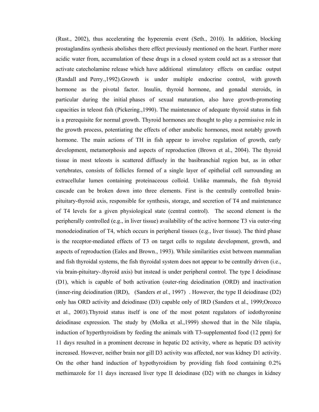(Rust., 2002), thus accelerating the hyperemia event (Seth., 2010). In addition, blocking prostaglandins synthesis abolishes there effect previously mentioned on the heart. Further more acidic water from, accumulation of these drugs in a closed system could act as a stressor that activate catecholamine release which have additional stimulatory effects on cardiac output (Randall and Perry.,1992).Growth is under multiple endocrine control, with growth hormone as the pivotal factor. Insulin, thyroid hormone, and gonadal steroids, in particular during the initial phases of sexual maturation, also have growth-promoting capacities in teleost fish (Pickering.,1990). The maintenance of adequate thyroid status in fish is a prerequisite for normal growth. Thyroid hormones are thought to play a permissive role in the growth process, potentiating the effects of other anabolic hormones, most notably growth hormone. The main actions of TH in fish appear to involve regulation of growth, early development, metamorphosis and aspects of reproduction (Brown et al., 2004). The thyroid tissue in most teleosts is scattered diffusely in the basibranchial region but, as in other vertebrates, consists of follicles formed of a single layer of epithelial cell surrounding an extracellular lumen containing proteinaceous colloid. Unlike mammals, the fish thyroid cascade can be broken down into three elements. First is the centrally controlled brainpituitary-thyroid axis, responsible for synthesis, storage, and secretion of T4 and maintenance of T4 levels for a given physiological state (central control). The second element is the peripherally controlled (e.g., in liver tissue) availability of the active hormone T3 via outer-ring monodeiodination of T4, which occurs in peripheral tissues (e.g., liver tissue). The third phase is the receptor-mediated effects of T3 on target cells to regulate development, growth, and aspects of reproduction (Eales and Brown., 1993). While similarities exist between mammalian and fish thyroidal systems, the fish thyroidal system does not appear to be centrally driven (i.e., via brain-pituitary-.thyroid axis) but instead is under peripheral control. The type I deiodinase (D1), which is capable of both activation (outer-ring deiodination (ORD) and inactivation (inner-ring deiodination (IRD), (Sanders *et al*., 1997) . However, the type II deiodinase (D2) only has ORD activity and deiodinase (D3) capable only of IRD (Sanders et al., 1999;Orozco et al., 2003).Thyroid status itself is one of the most potent regulators of iodothyronine deiodinase expression. The study by (Molka et al.,1999) showed that in the Nile tilapia, induction of hyperthyroidism by feeding the animals with T3-supplemented food (12 ppm) for 11 days resulted in a prominent decrease in hepatic D2 activity, where as hepatic D3 activity increased. However, neither brain nor gill D3 activity was affected, nor was kidney D1 activity. On the other hand induction of hypothyroidism by providing fish food containing 0.2% methimazole for 11 days increased liver type II deiodinase (D2) with no changes in kidney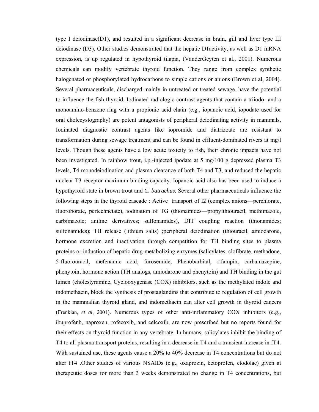type I deiodinase(D1), and resulted in a significant decrease in brain, gill and liver type III deiodinase (D3). Other studies demonstrated that the hepatic D1activity, as well as D1 mRNA expression, is up regulated in hypothyroid tilapia, (VanderGeyten et al., 2001). Numerous chemicals can modify vertebrate thyroid function. They range from complex synthetic halogenated or phosphorylated hydrocarbons to simple cations or anions (Brown et al, 2004). Several pharmaceuticals, discharged mainly in untreated or treated sewage, have the potential to influence the fish thyroid. Iodinated radiologic contrast agents that contain a triiodo- and a monoamino-benzene ring with a propionic acid chain (e.g., iopanoic acid, iopodate used for oral cholecystography) are potent antagonists of peripheral deiodinating activity in mammals, Iodinated diagnostic contrast agents like iopromide and diatrizoate are resistant to transformation during sewage treatment and can be found in effluent-dominated rivers at mg/l levels. Though these agents have a low acute toxicity to fish, their chronic impacts have not been investigated. In rainbow trout, i.p.-injected ipodate at 5 mg/100 g depressed plasma T3 levels, T4 monodeiodination and plasma clearance of both T4 and T3, and reduced the hepatic nuclear T3 receptor maximum binding capacity. Iopanoic acid also has been used to induce a hypothyroid state in brown trout and *C. batrachus.* Several other pharmaceuticals influence the following steps in the thyroid cascade : Active transport of I2 (complex anions—perchlorate, fluoroborate, pertechnetate), iodination of TG (thionamides—propylthiouracil, methimazole, carbimazole; aniline derivatives; sulfonamides), DIT coupling reaction (thionamides; sulfonamides); TH release (lithium salts) ;peripheral deiodination (thiouracil, amiodarone, hormone excretion and inactivation through competition for TH binding sites to plasma proteins or induction of hepatic drug-metabolizing enzymes (salicylates, clofibrate, methadone, 5-fluorouracil, mefenamic acid, furosemide, Phenobarbital, rifampin, carbamazepine, phenytoin, hormone action (TH analogs, amiodarone and phenytoin) and TH binding in the gut lumen (cholestyramine, Cyclooxygenase (COX) inhibitors, such as the methylated indole and indomethacin, block the synthesis of prostaglandins that contribute to regulation of cell growth in the mammalian thyroid gland, and indomethacin can alter cell growth in thyroid cancers (Frenkian, *et al*, 2001). Numerous types of other anti-inflammatory COX inhibitors (e.g., ibuprofenb, naproxen, rofecoxib, and celcoxib, are now prescribed but no reports found for their effects on thyroid function in any vertebrate. In humans, salicylates inhibit the binding of T4 to all plasma transport proteins, resulting in a decrease in T4 and a transient increase in fT4. With sustained use, these agents cause a 20% to 40% decrease in T4 concentrations but do not alter fT4 .Other studies of various NSAIDs (e.g., oxaprozin, ketoprofen, etodolac) given at therapeutic doses for more than 3 weeks demonstrated no change in T4 concentrations, but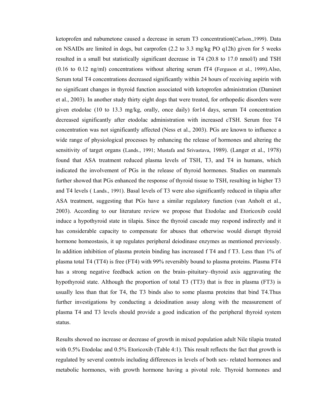ketoprofen and nabumetone caused a decrease in serum T3 concentration(Carlson.,1999). Data on NSAIDs are limited in dogs, but carprofen (2.2 to 3.3 mg/kg PO q12h) given for 5 weeks resulted in a small but statistically significant decrease in T4 (20.8 to 17.0 nmol/l) and TSH (0.16 to 0.12 ng/ml) concentrations without altering serum fT4 (Ferguson et al., 1999).Also, Serum total T4 concentrations decreased significantly within 24 hours of receiving aspirin with no significant changes in thyroid function associated with ketoprofen administration (Daminet et al., 2003). In another study thirty eight dogs that were treated, for orthopedic disorders were given etodolac (10 to 13.3 mg/kg, orally, once daily) for14 days, serum T4 concentration decreased significantly after etodolac administration with increased cTSH. Serum free T4 concentration was not significantly affected (Ness et al., 2003). PGs are known to influence a wide range of physiological processes by enhancing the release of hormones and altering the sensitivity of target organs (Lands., 1991; Mustafa and Srivastava, 1989). (Langer et al., 1978) found that ASA treatment reduced plasma levels of TSH, T3, and T4 in humans, which indicated the involvement of PGs in the release of thyroid hormones. Studies on mammals further showed that PGs enhanced the response of thyroid tissue to TSH, resulting in higher T3 and T4 levels ( Lands., 1991). Basal levels of T3 were also significantly reduced in tilapia after ASA treatment, suggesting that PGs have a similar regulatory function (van Anholt et al., 2003). According to our literature review we propose that Etodolac and Etoricoxib could induce a hypothyroid state in tilapia. Since the thyroid cascade may respond indirectly and it has considerable capacity to compensate for abuses that otherwise would disrupt thyroid hormone homeostasis, it up regulates peripheral deiodinase enzymes as mentioned previously. In addition inhibition of plasma protein binding has increased f T4 and f T3. Less than 1% of plasma total T4 (TT4) is free (FT4) with 99% reversibly bound to plasma proteins. Plasma FT4 has a strong negative feedback action on the brain–pituitary–thyroid axis aggravating the hypothyroid state. Although the proportion of total T3 (TT3) that is free in plasma (FT3) is usually less than that for T4, the T3 binds also to some plasma proteins that bind T4.Thus further investigations by conducting a deiodination assay along with the measurement of plasma T4 and T3 levels should provide a good indication of the peripheral thyroid system status.

Results showed no increase or decrease of growth in mixed population adult Nile tilapia treated with 0.5% Etodolac and 0.5% Etoricoxib (Table 4:1). This result reflects the fact that growth is regulated by several controls including differences in levels of both sex- related hormones and metabolic hormones, with growth hormone having a pivotal role. Thyroid hormones and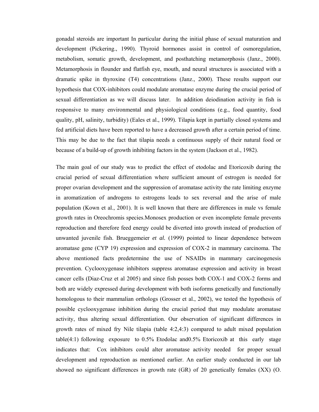gonadal steroids are important In particular during the initial phase of sexual maturation and development (Pickering., 1990). Thyroid hormones assist in control of osmoregulation, metabolism, somatic growth, development, and posthatching metamorphosis (Janz., 2000). Metamorphosis in flounder and flatfish eye, mouth, and neural structures is associated with a dramatic spike in thyroxine (T4) concentrations (Janz., 2000). These results support our hypothesis that COX-inhibitors could modulate aromatase enzyme during the crucial period of sexual differentiation as we will discuss later. In addition deiodination activity in fish is responsive to many environmental and physiological conditions (e.g., food quantity, food quality, pH, salinity, turbidity) (Eales et al., 1999). Tilapia kept in partially closed systems and fed artificial diets have been reported to have a decreased growth after a certain period of time. This may be due to the fact that tilapia needs a continuous supply of their natural food or because of a build-up of growth inhibiting factors in the system (Jackson et al., 1982).

The main goal of our study was to predict the effect of etodolac and Etoricoxib during the crucial period of sexual differentiation where sufficient amount of estrogen is needed for proper ovarian development and the suppression of aromatase activity the rate limiting enzyme in aromatization of androgens to estrogens leads to sex reversal and the arise of male population (Kown et al., 2001). It is well known that there are differences in male vs female growth rates in Oreochromis species.Monosex production or even incomplete female prevents reproduction and therefore feed energy could be diverted into growth instead of production of unwanted juvenile fish. Brueggemeier *et al.* (1999) pointed to linear dependence between aromatase gene (CYP 19) expression and expression of COX-2 in mammary carcinoma. The above mentioned facts predetermine the use of NSAIDs in mammary carcinogenesis prevention. Cyclooxygenase inhibitors suppress aromatase expression and activity in breast cancer cells (Diaz-Cruz et al 2005) and since fish posses both COX-1 and COX-2 forms and both are widely expressed during development with both isoforms genetically and functionally homologous to their mammalian orthologs (Grosser et al., 2002), we tested the hypothesis of possible cyclooxygenase inhibition during the crucial period that may modulate aromatase activity, thus altering sexual differentiation. Our observation of significant differences in growth rates of mixed fry Nile tilapia (table 4:2,4:3) compared to adult mixed population table(4:1) following exposure to  $0.5\%$  Etodolac and  $0.5\%$  Etoricoxib at this early stage indicates that: Cox inhibitors could alter aromatase activity needed for proper sexual development and reproduction as mentioned earlier. An earlier study conducted in our lab showed no significant differences in growth rate (GR) of 20 genetically females (XX) (O.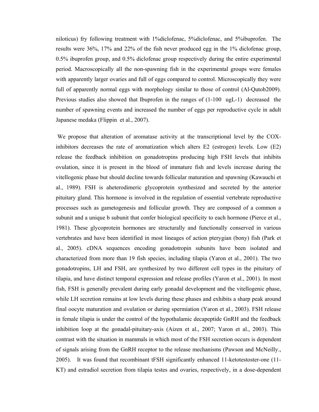niloticus) fry following treatment with 1%diclofenac, 5%diclofenac, and 5%ibuprofen. The results were 36%, 17% and 22% of the fish never produced egg in the 1% diclofenac group, 0.5% ibuprofen group, and 0.5% diclofenac group respectively during the entire experimental period. Macroscopically all the non-spawning fish in the experimental groups were females with apparently larger ovaries and full of eggs compared to control. Microscopically they were full of apparently normal eggs with morphology similar to those of control (Al-Qutob2009). Previous studies also showed that Ibuprofen in the ranges of (1-100 ugL-1) decreased the number of spawning events and increased the number of eggs per reproductive cycle in adult Japanese medaka (Flippin et al., 2007).

 We propose that alteration of aromatase activity at the transcriptional level by the COXinhibitors decreases the rate of aromatization which alters E2 (estrogen) levels. Low (E2) release the feedback inhibition on gonadotropins producing high FSH levels that inhibits ovulation, since it is present in the blood of immature fish and levels increase during the vitellogenic phase but should decline towards follicular maturation and spawning (Kawauchi et al., 1989). FSH is aheterodimeric glycoprotein synthesized and secreted by the anterior pituitary gland. This hormone is involved in the regulation of essential vertebrate reproductive processes such as gametogenesis and follicular growth. They are composed of a common a subunit and a unique b subunit that confer biological specificity to each hormone (Pierce et al., 1981). These glycoprotein hormones are structurally and functionally conserved in various vertebrates and have been identified in most lineages of action pterygian (bony) fish (Park et al., 2005). cDNA sequences encoding gonadotropin subunits have been isolated and characterized from more than 19 fish species, including tilapia (Yaron et al., 2001). The two gonadotropins, LH and FSH, are synthesized by two different cell types in the pituitary of tilapia, and have distinct temporal expression and release profiles (Yaron et al., 2001). In most fish, FSH is generally prevalent during early gonadal development and the vitellogenic phase, while LH secretion remains at low levels during these phases and exhibits a sharp peak around final oocyte maturation and ovulation or during spermiation (Yaron et al., 2003). FSH release in female tilapia is under the control of the hypothalamic decapeptide GnRH and the feedback inhibition loop at the gonadal-pituitary-axis (Aizen et al., 2007; Yaron et al., 2003). This contrast with the situation in mammals in which most of the FSH secretion occurs is dependent of signals arising from the GnRH receptor to the release mechanisms (Pawson and McNeilly., 2005). It was found that recombinant tFSH significantly enhanced 11-ketotestoster-one (11- KT) and estradiol secretion from tilapia testes and ovaries, respectively, in a dose-dependent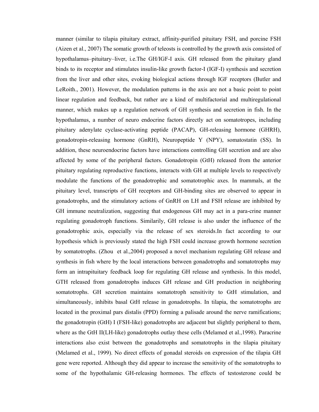manner (similar to tilapia pituitary extract, affinity-purified pituitary FSH, and porcine FSH (Aizen et al., 2007) The somatic growth of teleosts is controlled by the growth axis consisted of hypothalamus–pituitary–liver, i.e.The GH/IGF-I axis. GH released from the pituitary gland binds to its receptor and stimulates insulin-like growth factor-I (IGF-I) synthesis and secretion from the liver and other sites, evoking biological actions through IGF receptors (Butler and LeRoith., 2001). However, the modulation patterns in the axis are not a basic point to point linear regulation and feedback, but rather are a kind of multifactorial and multiregulational manner, which makes up a regulation network of GH synthesis and secretion in fish. In the hypothalamus, a number of neuro endocrine factors directly act on somatotropes, including pituitary adenylate cyclase-activating peptide (PACAP), GH-releasing hormone (GHRH), gonadotropin-releasing hormone (GnRH), Neuropeptide Y (NPY), somatostatin (SS). In addition, these neuroendocrine factors have interactions controlling GH secretion and are also affected by some of the peripheral factors. Gonadotropin (GtH) released from the anterior pituitary regulating reproductive functions, interacts with GH at multiple levels to respectively modulate the functions of the gonadotrophic and somatotrophic axes. In mammals, at the pituitary level, transcripts of GH receptors and GH-binding sites are observed to appear in gonadotrophs, and the stimulatory actions of GnRH on LH and FSH release are inhibited by GH immune neutralization, suggesting that endogenous GH may act in a para-crine manner regulating gonadotroph functions. Similarily, GH release is also under the influence of the gonadotrophic axis, especially via the release of sex steroids.In fact according to our hypothesis which is previously stated the high FSH could increase growth hormone secretion by somatotrophs. (Zhou et al.,2004) proposed a novel mechanism regulating GH release and synthesis in fish where by the local interactions between gonadotrophs and somatotrophs may form an intrapituitary feedback loop for regulating GH release and synthesis. In this model, GTH released from gonadotrophs induces GH release and GH production in neighboring somatotrophs. GH secretion maintains somatotroph sensitivity to GtH stimulation, and simultaneously, inhibits basal GtH release in gonadotrophs. In tilapia, the somatotrophs are located in the proximal pars distalis (PPD) forming a palisade around the nerve ramifications; the gonadotropin (GtH) I (FSH-like) gonadotrophs are adjacent but slightly peripheral to them, where as the GtH II(LH-like) gonadotrophs outlay these cells (Melamed et al., 1998). Paracrine interactions also exist between the gonadotrophs and somatotrophs in the tilapia pituitary (Melamed et al., 1999). No direct effects of gonadal steroids on expression of the tilapia GH gene were reported. Although they did appear to increase the sensitivity of the somatotrophs to some of the hypothalamic GH-releasing hormones. The effects of testosterone could be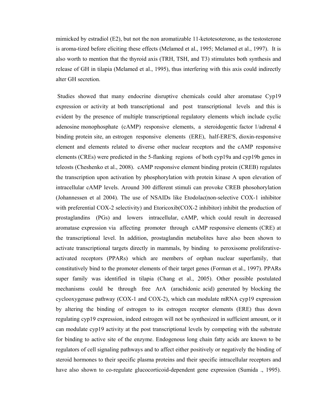mimicked by estradiol (E2), but not the non aromatizable 11-ketotesoterone, as the testosterone is aroma-tized before eliciting these effects (Melamed et al., 1995; Melamed et al., 1997). It is also worth to mention that the thyroid axis (TRH, TSH, and T3) stimulates both synthesis and release of GH in tilapia (Melamed et al., 1995), thus interfering with this axis could indirectly alter GH secretion.

 Studies showed that many endocrine disruptive chemicals could alter aromatase Cyp19 expression or activity at both transcriptional and post transcriptional levels and this is evident by the presence of multiple transcriptional regulatory elements which include cyclic adenosine monophosphate (cAMP) responsive elements, a steroidogentic factor 1/adrenal 4 binding protein site, an estrogen responsive elements (ERE), half-ERE'S, dioxin-responsive element and elements related to diverse other nuclear receptors and the cAMP responsive elements (CREs) were predicted in the 5-flanking regions of both cyp19a and cyp19b genes in teleosts (Cheshenko et al., 2008). cAMP responsive element binding protein (CREB) regulates the transcription upon activation by phosphorylation with protein kinase A upon elevation of intracellular cAMP levels. Around 300 different stimuli can provoke CREB phosohorylation (Johannessen et al 2004). The use of NSAIDs like Etodolac(non-selective COX-1 inhibitor with preferential COX-2 selectivity) and Etoricoxib(COX-2 inhibitor) inhibit the production of prostaglandins (PGs) and lowers intracellular, cAMP, which could result in decreased aromatase expression via affecting promoter through cAMP responsive elements (CRE) at the transcriptional level. In addition, prostaglandin metabolites have also been shown to activate transcriptional targets directly in mammals, by binding to peroxisome proliferativeactivated receptors (PPARs) which are members of orphan nuclear superfamily, that constitutively bind to the promoter elements of their target genes (Forman et al., 1997). PPARs super family was identified in tilapia (Chang et al., 2005). Other possible postulated mechanisms could be through free ArA (arachidonic acid) generated by blocking the cyclooxygenase pathway (COX-1 and COX-2), which can modulate mRNA cyp19 expression by altering the binding of estrogen to its estrogen receptor elements (ERE) thus down regulating cyp19 expression, indeed estrogen will not be synthesized in sufficient amount, or it can modulate cyp19 activity at the post transcriptional levels by competing with the substrate for binding to active site of the enzyme. Endogenous long chain fatty acids are known to be regulators of cell signaling pathways and to affect either positively or negatively the binding of steroid hormones to their specific plasma proteins and their specific intracellular receptors and have also shown to co-regulate glucocorticoid-dependent gene expression (Sumida ., 1995).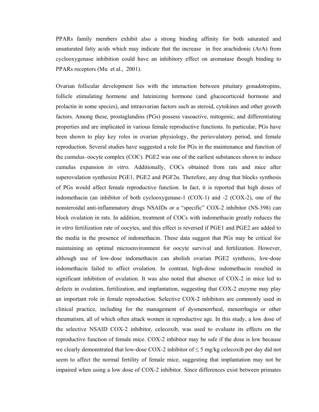PPARs family members exhibit also a strong binding affinity for both saturated and unsaturated fatty acids which may indicate that the increase in free arachidonic (ArA) from cyclooxygenase inhibition could have an inhibitory effect on aromatase though binding to PPARs receptors (Mu et al., 2001).

Ovarian follicular development lies with the interaction between pituitary gonadotropins, follicle stimulating hormone and luteinizing hormone (and glucocorticoid hormone and prolactin in some species), and intraovarian factors such as steroid, cytokines and other growth factors. Among these, prostaglandins (PGs) possess vasoactive, mitogenic, and differentiating properties and are implicated in various female reproductive functions. In particular, PGs have been shown to play key roles in ovarian physiology, the periovulatory period, and female reproduction. Several studies have suggested a role for PGs in the maintenance and function of the cumulus–oocyte complex (COC). PGE2 was one of the earliest substances shown to induce cumulus expansion *in vitro.* Additionally, COCs obtained from rats and mice after superovulation synthesize PGE1, PGE2 and PGF2α. Therefore, any drug that blocks synthesis of PGs would affect female reproductive function. In fact, it is reported that high doses of indomethacin (an inhibitor of both cyclooxygenase-1 (COX-1) and -2 (COX-2), one of the nonsteroidal anti-inflammatory drugs NSAIDs or a "specific" COX-2 inhibitor (NS-398) can block ovulation in rats. In addition, treatment of COCs with indomethacin greatly reduces the *in vitro* fertilization rate of oocytes, and this effect is reversed if PGE1 and PGE2 are added to the media in the presence of indomethacin. These data suggest that PGs may be critical for maintaining an optimal microenvironment for oocyte survival and fertilization. However, although use of low-dose indomethacin can abolish ovarian PGE2 synthesis, low-dose indomethacin failed to affect ovulation. In contrast, high-dose indomethacin resulted in significant inhibition of ovulation. It was also noted that absence of COX-2 in mice led to defects in ovulation, fertilization, and implantation, suggesting that COX-2 enzyme may play an important role in female reproduction. Selective COX-2 inhibitors are commonly used in clinical practice, including for the management of dysmenorrheal, menorrhagia or other rheumatism, all of which often attack women in reproductive age. In this study, a low dose of the selective NSAID COX-2 inhibitor, celecoxib, was used to evaluate its effects on the reproductive function of female mice. COX-2 inhibitor may be safe if the dose is low because we clearly demonstrated that low-dose COX-2 inhibitor of  $\leq$  5 mg/kg celecoxib per day did not seem to affect the normal fertility of female mice, suggesting that implantation may not be impaired when using a low dose of COX-2 inhibitor. Since differences exist between primates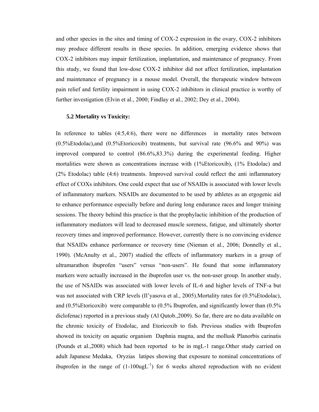and other species in the sites and timing of COX-2 expression in the ovary, COX-2 inhibitors may produce different results in these species. In addition, emerging evidence shows that COX-2 inhibitors may impair fertilization, implantation, and maintenance of pregnancy. From this study, we found that low-dose COX-2 inhibitor did not affect fertilization, implantation and maintenance of pregnancy in a mouse model. Overall, the therapeutic window between pain relief and fertility impairment in using COX-2 inhibitors in clinical practice is worthy of further investigation (Elvin et al., 2000; Findlay et al., 2002; Dey et al., 2004).

#### **5.2 Mortality vs Toxicity:**

In reference to tables (4:5,4:6), there were no differences in mortality rates between (0.5%Etodolac),and (0.5%Etoricoxib) treatments, but survival rate (96.6% and 90%) was improved compared to control (86.6%,83.3%) during the experimental feeding. Higher mortalities were shown as concentrations increase with (1%Etoricoxib), (1% Etodolac) and (2% Etodolac) table (4:6) treatments. Improved survival could reflect the anti inflammatory effect of COXs inhibitors. One could expect that use of NSAIDs is associated with lower levels of inflammatory markers. NSAIDs are documented to be used by athletes as an ergogenic aid to enhance performance especially before and during long endurance races and longer training sessions. The theory behind this practice is that the prophylactic inhibition of the production of inflammatory mediators will lead to decreased muscle soreness, fatigue, and ultimately shorter recovery times and improved performance. However, currently there is no convincing evidence that NSAIDs enhance performance or recovery time (Nieman et al., 2006; Donnelly et al., 1990). (McAnulty et al., 2007) studied the effects of inflammatory markers in a group of ultramarathon ibuprofen "users" versus "non-users". He found that some inflammatory markers were actually increased in the ibuprofen user vs. the non-user group. In another study, the use of NSAIDs was associated with lower levels of IL-6 and higher levels of TNF-a but was not associated with CRP levels (Il'yasova et al., 2005).Mortality rates for (0.5%Etodolac), and (0.5%Etoricoxib) were comparable to (0.5% Ibuprofen, and significantly lower than (0.5% diclofenac) reported in a previous study (Al Qutob.,2009). So far, there are no data available on the chronic toxicity of Etodolac, and Etoricoxib to fish. Previous studies with Ibuprofen showed its toxicity on aquatic organism Daphnia magna, and the mollusk Planorbis carinatis (Pounds et al.,2008) which had been reported to be in mgL-1 range.Other study carried on adult Japanese Medaka, Oryzias latipes showing that exposure to nominal concentrations of ibuprofen in the range of  $(1-100\mu gL^{-1})$  for 6 weeks altered reproduction with no evident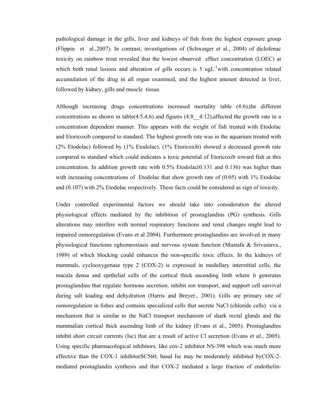pathological damage in the gills, liver and kidneys of fish from the highest exposure group (Flippin et al.,2007). In contrast, investigations of (Schwaiger et al., 2004) of diclofenac toxicity on rainbow trout revealed that the lowest observed effect concentration (LOEC) at which both renal lesions and alteration of gills occurs is 5 ug $L^{-1}$ with concentration related accumulation of the drug in all organ examined, and the highest amount detected in liver, followed by kidney, gills and muscle tissue.

Although increasing drugs concentrations increased mortality table (4:6),the different concentrations as shown in table(4:5,4.6) and figures (4:8  $\pm$  4:12),affected the growth rate in a concentration dependent manner. This appears with the weight of fish treated with Etodolac and Etoricoxib compared to standard. The highest growth rate was in the aquarium treated with (2% Etodolac) followed by (1% Etodolac). (1% Etoricoxib) showed a decreased growth rate compared to standard which could indicates a toxic potential of Etoricoxib toward fish at this concentration. In addition growth rate with  $0.5\%$  Etodolac $(0.131$  and  $0.136)$  was higher than with increasing concentrations of Etodolac that show growth rate of  $(0.05)$  with 1% Etodolac and (0.107) with 2% Etodolac respectively. These facts could be considered as sign of toxicity.

Under controlled experimental factors we should take into consideration the altered physiological effects mediated by the inhibition of prostaglandins (PG) synthesis. Gills alterations may interfere with normal respiratory functions and renal changes might lead to impaired osmoregulation (Evans et al 2004). Furthermore prostaglandins are involved in many physiological functions eghomeostasis and nervous system function (Mustafa & Srivastava., 1989) of which blocking could enhances the non-specific toxic effects. In the kidneys of mammals, cyclooxygenase type 2 (COX-2) is expressed in medullary interstitial cells, the macula densa and epithelial cells of the cortical thick ascending limb where it generates prostaglandins that regulate hormone secretion, inhibit ion transport, and support cell survival during salt loading and dehydration (Harris and Breyer., 2001). Gills are primary site of osmoregulation in fishes and contains specialized cells that secrete NaCl (chloride cells) via a mechanism that is similar to the NaCl transport mechanism of shark rectal glands and the mammalian cortical thick ascending limb of the kidney (Evans et al., 2005). Prostaglandins inhibit short circuit currents (Isc) that are a result of active Cl secretion (Evans *et al.*, 2005). Using specific pharmacological inhibitors, like cox-2 inhibitor NS-398 which was much more effective than the COX-1 inhibitorSC560, basal Isc may be moderately inhibited byCOX-2 mediated prostaglandin synthesis and that COX-2 mediated a large fraction of endothelin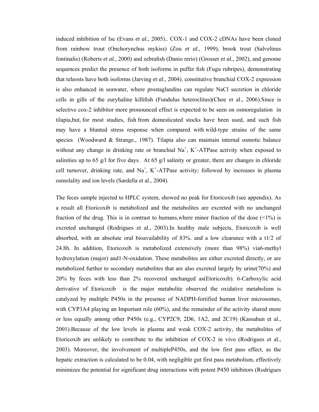induced inhibition of Isc (Evans *et al.*, 2005).. COX-1 and COX-2 cDNAs have been cloned from rainbow trout (Onchorynchus mykiss) (Zou *et al.*, 1999), brook trout (Salvelinus fontinalis) (Roberts *et al.*, 2000) and zebrafish (Danio rerio) (Grosser *et al.*, 2002), and genome sequences predict the presence of both isoforms in puffer fish (Fugu rubripes), demonstrating that teleosts have both isoforms (Jarving *et al.*, 2004). constitutive branchial COX-2 expression is also enhanced in seawater, where prostaglandins can regulate NaCl secretion in chloride cells in gills of the euryhaline killifish (Fundulus heteroclitus)(Choe et al., 2006).Since is selective cox-2 inhibitor more pronounced effect is expected to be seen on osmoregulation in tilapia,but, for most studies, fish from domesticated stocks have been used, and such fish may have a blunted stress response when compared with wild-type strains of the same species (Woodward & Strange., 1987). Tilapia also can maintain internal osmotic balance without any change in drinking rate or branchial  $Na<sup>+</sup>, K<sup>+</sup>-ATP$ ase activity when exposed to salinities up to 65 g/l for five days. At 65 g/l salinity or greater, there are changes in chloride cell turnover, drinking rate, and  $Na<sup>+</sup>, K<sup>+</sup>-ATP$ ase activity; followed by increases in plasma osmolality and ion levels (Sardella et al., 2004).

The feces sample injected to HPLC system, showed no peak for Etoricoxib (see appendix). As a result all Etoricoxib is metabolized and the metabolites are excreted with no unchanged fraction of the drug. This is in contrast to humans, where minor fraction of the dose  $(\langle 1\% \rangle)$  is excreted unchanged (Rodrigues et al., 2003).In healthy male subjects, Etoricoxib is well absorbed, with an absolute oral bioavailability of 83%. and a low clearance with a t1/2 of 24.8h. In addition, Etoricoxib is metabolized extensively (more than 98%) via6-methyl hydroxylation (major) and1-N-oxidation. These metabolites are either excreted directly, or are metabolized further to secondary metabolites that are also excreted largely by urine(70%) and 20% by feces with less than 2% recovered unchanged as(Etoricoxib). 6-Carboxylic acid derivative of Etoricoxib is the major metabolite observed the oxidative metabolism is catalyzed by multiple P450s in the presence of NADPH-fortified human liver microsomes, with CYP3A4 playing an Important role (60%), and the remainder of the activity shared more or less equally among other P450s (e.g., CYP2C9, 2D6, 1A2, and 2C19) (Kassahun et al., 2001).Because of the low levels in plasma and weak COX-2 activity, the metabolites of Etoricoxib are unlikely to contribute to the inhibition of COX-2 in vivo (Rodrigues et al., 2003). Moreover, the involvement of multipleP450s, and the low first pass effect, as the hepatic extraction is calculated to be 0.04, with negligible gut first pass metabolism, effectively minimizes the potential for significant drug interactions with potent P450 inhibitors (Rodrigues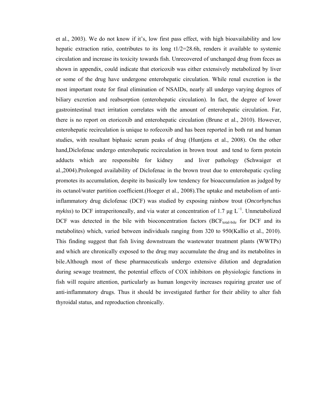et al., 2003). We do not know if it's, low first pass effect, with high bioavailability and low hepatic extraction ratio, contributes to its long t1/2=28.6h, renders it available to systemic circulation and increase its toxicity towards fish. Unrecovered of unchanged drug from feces as shown in appendix, could indicate that etoricoxib was either extensively metabolized by liver or some of the drug have undergone enterohepatic circulation. While renal excretion is the most important route for final elimination of NSAIDs, nearly all undergo varying degrees of biliary excretion and reabsorption (enterohepatic circulation). In fact, the degree of lower gastrointestinal tract irritation correlates with the amount of enterohepatic circulation. Far, there is no report on etoricoxib and enterohepatic circulation (Brune et al., 2010). However, enterohepatic recirculation is unique to rofecoxib and has been reported in both rat and human studies, with resultant biphasic serum peaks of drug (Huntjens et al., 2008). On the other hand,Diclofenac undergo enterohepatic recirculation in brown trout and tend to form protein adducts which are responsible for kidney and liver pathology (Schwaiger et al.,2004).Prolonged availability of Diclofenac in the brown trout due to enterohepatic cycling promotes its accumulation, despite its basically low tendency for bioaccumulation as judged by its octanol/water partition coefficient.(Hoeger et al., 2008).The uptake and metabolism of antiinflammatory drug diclofenac (DCF) was studied by exposing rainbow trout (*Oncorhynchus mykiss*) to DCF intraperitoneally, and via water at concentration of 1.7 µg  $L^{-1}$ . Unmetabolized DCF was detected in the bile with bioconcentration factors ( $BCF_{total-bile}$  for DCF and its metabolites) which, varied between individuals ranging from 320 to 950(Kallio et al., 2010). This finding suggest that fish living downstream the wastewater treatment plants (WWTPs) and which are chronically exposed to the drug may accumulate the drug and its metabolites in bile.Although most of these pharmaceuticals undergo extensive dilution and degradation during sewage treatment, the potential effects of COX inhibitors on physiologic functions in fish will require attention, particularly as human longevity increases requiring greater use of anti-inflammatory drugs. Thus it should be investigated further for their ability to alter fish thyroidal status, and reproduction chronically.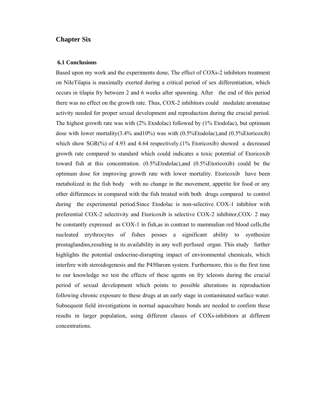### **Chapter Six**

#### **6.1 Conclusions**

Based upon my work and the experiments done, The effect of COXs-2 inhibitors treatment on NileTilapia is maximally exerted during a critical period of sex differentiation, which occurs in tilapia fry between 2 and 6 weeks after spawning. After the end of this period there was no effect on the growth rate. Thus, COX-2 inhibitors could modulate aromatase activity needed for proper sexual development and reproduction during the crucial period. The highest growth rate was with (2% Etodolac) followed by (1% Etodolac), but optimum dose with lower mortality(3.4% and10%) was with (0.5%Etodolac),and (0.5%Etoricoxib) which show  $SGR(\%)$  of 4.93 and 4.64 respectively. (1% Etoricoxib) showed a decreased growth rate compared to standard which could indicates a toxic potential of Etoricoxib toward fish at this concentration. (0.5%Etodolac),and (0.5%Etoricoxib) could be the optimum dose for improving growth rate with lower mortality. Etoricoxib have been metabolized in the fish body with no change in the movement, appetite for food or any other differences in compared with the fish treated with both drugs compared to control during the experimental period.Since Etodolac is non-selective COX-1 inhibitor with preferential COX-2 selectivity and Etoricoxib is selective COX-2 inhibitor,COX- 2 may be constantly expressed as COX-1 in fish,as in contrast to mammalian red blood cells,the nucleated erythrocytes of fishes posses a significant ability to synthesize prostaglandins,resulting in its availability in any well perfused organ. This study further highlights the potential endocrine-disrupting impact of environmental chemicals, which interfere with steroidogenesis and the P450arom system. Furthermore, this is the first time to our knowledge we test the effects of these agents on fry teleosts during the crucial period of sexual development which points to possible alterations in reproduction following chronic exposure to these drugs at an early stage in contaminated surface water. Subsequent field investigations in normal aquaculture bonds are needed to confirm these results in larger population, using different classes of COXs-inhibitors at different concentrations.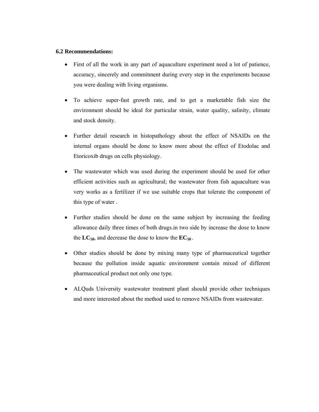### **6.2 Recommendations:**

- First of all the work in any part of aquaculture experiment need a lot of patience, accuracy, sincerely and commitment during every step in the experiments because you were dealing with living organisms.
- To achieve super-fast growth rate, and to get a marketable fish size the environment should be ideal for particular strain, water quality, salinity, climate and stock density.
- Further detail research in histopathology about the effect of NSAIDs on the internal organs should be done to know more about the effect of Etodolac and Etoricoxib drugs on cells physiology.
- The wastewater which was used during the experiment should be used for other efficient activities such as agricultural; the wastewater from fish aquaculture was very works as a fertilizer if we use suitable crops that tolerate the component of this type of water .
- Further studies should be done on the same subject by increasing the feeding allowance daily three times of both drugs.in two side by increase the dose to know the  $LC_{50}$ , and decrease the dose to know the  $EC_{50}$ .
- Other studies should be done by mixing many type of pharmaceutical together because the pollution inside aquatic environment contain mixed of different pharmaceutical product not only one type.
- ALQuds University wastewater treatment plant should provide other techniques and more interested about the method used to remove NSAIDs from wastewater.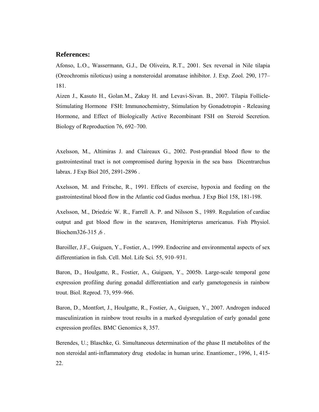#### **References:**

Afonso, L.O., Wassermann, G.J., De Oliveira, R.T., 2001. Sex reversal in Nile tilapia (Oreochromis niloticus) using a nonsteroidal aromatase inhibitor. J. Exp. Zool. 290, 177– 181.

Aizen J., Kasuto H., Golan.M., Zakay H. and Levavi-Sivan. B., 2007. Tilapia Follicle-Stimulating Hormone FSH: Immunochemistry, Stimulation by Gonadotropin - Releasing Hormone, and Effect of Biologically Active Recombinant FSH on Steroid Secretion. Biology of Reproduction 76, 692–700.

Axelsson, M., Altimiras J. and Claireaux G., 2002. Post-prandial blood flow to the gastrointestinal tract is not compromised during hypoxia in the sea bass Dicentrarchus labrax. J Exp Biol 205, 2891-2896 .

Axelsson, M. and Fritsche, R., 1991. Effects of exercise, hypoxia and feeding on the gastrointestinal blood flow in the Atlantic cod Gadus morhua. J Exp Biol 158, 181-198.

Axelsson, M., Driedzic W. R., Farrell A. P. and Nilsson S., 1989. Regulation of cardiac output and gut blood flow in the searaven, Hemitripterus americanus. Fish Physiol. Biochem  $326 - 315, 6$ .

Baroiller, J.F., Guiguen, Y., Fostier, A., 1999. Endocrine and environmental aspects of sex differentiation in fish. Cell. Mol. Life Sci. 55, 910–931.

Baron, D., Houlgatte, R., Fostier, A., Guiguen, Y., 2005b. Large-scale temporal gene expression profiling during gonadal differentiation and early gametogenesis in rainbow trout. Biol. Reprod. 73, 959–966.

Baron, D., Montfort, J., Houlgatte, R., Fostier, A., Guiguen, Y., 2007. Androgen induced masculinization in rainbow trout results in a marked dysregulation of early gonadal gene expression profiles. BMC Genomics 8, 357.

Berendes, U.; Blaschke, G. Simultaneous determination of the phase II metabolites of the non steroidal anti-inflammatory drug etodolac in human urine. Enantiomer., 1996, 1, 415- 22.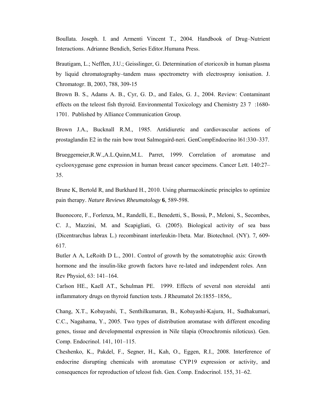Boullata. Joseph. I. and Armenti Vincent T., 2004. Handbook of Drug–Nutrient Interactions. Adrianne Bendich, Series Editor.Humana Press.

Brautigam, L.; Nefflen, J.U.; Geisslinger, G. Determination of etoricoxib in human plasma by liquid chromatography–tandem mass spectrometry with electrospray ionisation. J. Chromatogr. B, 2003, 788, 309-15

Brown B. S., Adams A. B., Cyr, G. D., and Eales, G. J., 2004. Review: Contaminant effects on the teleost fish thyroid. Environmental Toxicology and Chemistry 23 7 :1680- 1701. Published by Alliance Communication Group.

Brown J.A., Bucknall R.M., 1985. Antidiuretic and cardiovascular actions of prostaglandin E2 in the rain bow trout Salmogaird-neri. GenCompEndocrino l61:330–337.

Brueggemeier,R.W.,A.L.Quinn,M.L. Parret, 1999. Correlation of aromatase and cyclooxygenase gene expression in human breast cancer specimens. Cancer Lett. 140:27– 35.

Brune K, Bertold R, and Burkhard H., 2010. Using pharmacokinetic principles to optimize pain therapy. *Nature Reviews Rheumatology* **6**, 589-598.

Buonocore, F., Forlenza, M., Randelli, E., Benedetti, S., Bossù, P., Meloni, S., Secombes, C. J., Mazzini, M. and Scapigliati, G. (2005). Biological activity of sea bass (Dicentrarchus labrax L.) recombinant interleukin-1beta. Mar. Biotechnol. (NY). 7, 609- 617.

Butler A A, LeRoith D L., 2001. Control of growth by the somatotrophic axis: Growth hormone and the insulin-like growth factors have re-lated and independent roles. Ann Rev Physiol, 63: 141–164.

Carlson HE., Kaell AT., Schulman PE. 1999. Effects of several non steroidal anti inflammatory drugs on thyroid function tests. J Rheumatol 26:1855–1856,.

Chang, X.T., Kobayashi, T., Senthilkumaran, B., Kobayashi-Kajura, H., Sudhakumari, C.C., Nagahama, Y., 2005. Two types of distribution aromatase with different encoding genes, tissue and developmental expression in Nile tilapia (Oreochromis niloticus). Gen. Comp. Endocrinol. 141, 101–115.

Cheshenko, K., Pakdel, F., Segner, H., Kah, O., Eggen, R.I., 2008. Interference of endocrine disrupting chemicals with aromatase CYP19 expression or activity, and consequences for reproduction of teleost fish. Gen. Comp. Endocrinol. 155, 31–62.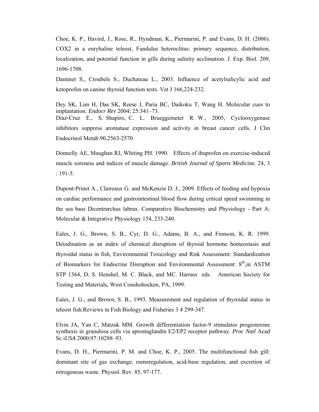Choe, K. P., Havird, J., Rose, R., Hyndman, K., Piermarini, P. and Evans, D. H. (2006). COX2 in a euryhaline teleost, Fundulus heteroclitus: primary sequence, distribution, localization, and potential function in gills during salinity acclimation. J. Exp. Biol. 209, 1696-1708.

Daminet S., Croubels S., Duchateau L., 2003. Influence of acetylsalicylic acid and ketoprofen on canine thyroid function tests. Vet J 166,224-232.

Dey SK, Lim H, Das SK, Reese J, Paria BC, Daikoku T, Wang H. Molecular cues to implantation. *Endocr Rev* 2004; 25:341–73. Diaz-Cruz E., S. Shapiro, C. L. Brueggemeter R. W., 2005, Cyclooxygenase inhibitors suppress aromatase expression and activity in breast cancer cells. J Clin Endocrinol Metab 90,2563-2570.

Donnelly AE, Maughan RJ, Whiting PH. 1990. Effects of ibuprofen on exercise-induced muscle soreness and indices of muscle damage. *British Journal of Sports Medicine.* 24, 3 : 191-5.

Dupont-Prinet A., Claireaux G. and McKenzie D. J., 2009. Effects of feeding and hypoxia on cardiac performance and gastrointestinal blood flow during critical speed swimming in the sea bass Dicentrarchus labrax. Comparative Biochemistry and Physiology - Part A: Molecular & Integrative Physiology 154, 233-240.

Eales, J. G., Brown, S. B., Cyr, D. G., Adams, B. A., and Finnson, K. R. 1999. Deiodination as an index of chemical disruption of thyroid hormone homeostasis and thyroidal status in fish, Environmental Toxicology and Risk Assessment: Standardization of Biomarkers for Endocrine Disruption and Environmental Assessment:  $8<sup>th</sup>$  in ASTM STP 1364, D. S. Henshel, M. C. Black, and MC. Harrass eds. American Society for Testing and Materials, West Conshohocken, PA, 1999.

Eales, J. G., and Brown, S. B., 1993. Measurement and regulation of thyroidal status in teleost fish.Reviews in Fish Biology and Fisheries 3 4 299-347.

Elvin JA, Yan C, Matzuk MM. Growth differentiation factor-9 stimulates progesterone synthesis in granulosa cells via aprostaglandin E2/EP2 receptor pathway. *Proc Natl* Acad Sc i*USA* 2000;97:10288–93.

Evans, D. H., Piermarini, P. M. and Choe, K. P., 2005. The multifunctional fish gill: dominant site of gas exchange, osmoregulation, acid-base regulation, and excretion of nitrogenous waste. Physiol. Rev. 85, 97-177.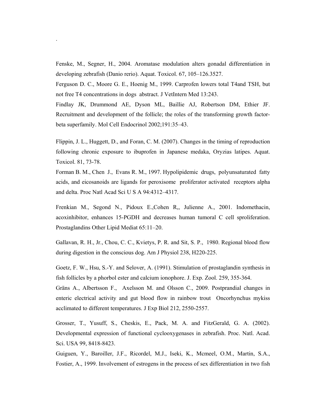Fenske, M., Segner, H., 2004. Aromatase modulation alters gonadal differentiation in developing zebrafish (Danio rerio). Aquat. Toxicol. 67, 105–126.3527.

.

Ferguson D. C., Moore G. E., Hoenig M., 1999. Carprofen lowers total T4and TSH, but not free T4 concentrations in dogs abstract. J VetIntern Med 13:243.

Findlay JK, Drummond AE, Dyson ML, Baillie AJ, Robertson DM, Ethier JF. Recruitment and development of the follicle; the roles of the transforming growth factorbeta superfamily. Mol Cell Endocrinol 2002;191:35–43.

Flippin, J. L., Huggett, D., and Foran, C. M. (2007). Changes in the timing of reproduction following chronic exposure to ibuprofen in Japanese medaka, Oryzias latipes. Aquat. Toxicol. 81, 73-78.

Forman B. M., Chen J., Evans R. M., 1997. Hypolipidemic drugs, polyunsaturated fatty acids, and eicosanoids are ligands for peroxisome proliferator activated receptors alpha and delta. Proc Natl Acad Sci U S A 94:4312–4317.

Frenkian M., Segond N., Pidoux E.,Cohen R,, Julienne A., 2001. Indomethacin, acoxinhibitor, enhances 15-PGDH and decreases human tumoral C cell sproliferation. Prostaglandins Other Lipid Mediat 65:11–20.

Gallavan, R. H., Jr., Chou, C. C., Kvietys, P. R. and Sit, S. P., 1980. Regional blood flow during digestion in the conscious dog. Am J Physiol 238, H220-225.

Goetz, F. W., Hsu, S.-Y. and Selover, A. (1991). Stimulation of prostaglandin synthesis in fish follicles by a phorbol ester and calcium ionophore. J. Exp. Zool. 259, 355-364.

Gräns A., Albertsson F., Axelsson M. and Olsson C., 2009. Postprandial changes in enteric electrical activity and gut blood flow in rainbow trout Oncorhynchus mykiss acclimated to different temperatures. J Exp Biol 212, 2550-2557.

Grosser, T., Yusuff, S., Cheskis, E., Pack, M. A. and FitzGerald, G. A. (2002). Developmental expression of functional cyclooxygenases in zebrafish. Proc. Natl. Acad. Sci. USA 99, 8418-8423.

Guiguen, Y., Baroiller, J.F., Ricordel, M.J., Iseki, K., Mcmeel, O.M., Martin, S.A., Fostier, A., 1999. Involvement of estrogens in the process of sex differentiation in two fish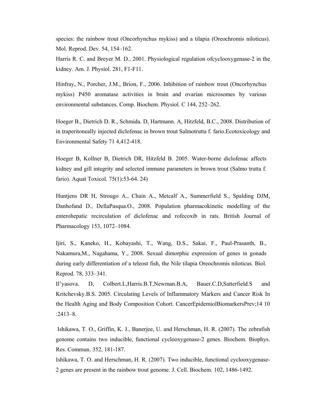species: the rainbow trout (Oncorhynchus mykiss) and a tilapia (Oreochromis niloticus). Mol. Reprod. Dev. 54, 154–162.

Harris R. C. and Breyer M. D., 2001. Physiological regulation ofcyclooxygenase-2 in the kidney. Am. J. Physiol. 281, F1-F11.

Hinfray, N., Porcher, J.M., Brion, F., 2006. Inhibition of rainbow trout (Oncorhynchus mykiss) P450 aromatase activities in brain and ovarian microsomes by various environmental substances. Comp. Biochem. Physiol. C 144, 252–262.

Hoeger B., Dietrich D. R., Schmida. D, Hartmann. A, Hitzfeld, B.C., 2008. Distribution of in traperitoneally injected diclofenac in brown trout Salmotrutta f. fario.Ecotoxicology and Environmental Safety 71 4,412-418.

Hoeger B, Kollner B, Dietrich DR, Hitzfeld B. 2005. Water-borne diclofenac affects kidney and gill integrity and selected immune parameters in brown trout (Salmo trutta f. fario). Aquat Toxicol. 75(1):53-64. 24)

Huntjens DR H, Strougo A., Chain A., Metcalf A., Summerfield S., Spalding DJM, Danhofand D., DellaPasqua.O., 2008. Population pharmacokinetic modelling of the enterohepatic recirculation of diclofenac and rofecoxib in rats. British Journal of Pharmacology 153, 1072–1084.

Ijiri, S., Kaneko, H., Kobayashi, T., Wang, D.S., Sakai, F., Paul-Prasanth, B., Nakamura,M., Nagahama, Y., 2008. Sexual dimorphic expression of genes in gonads during early differentiation of a teleost fish, the Nile tilapia Oreochromis niloticus. Biol. Reprod. 78, 333–341.

Il'yasova. D, Colbert.L,Harris.B.T,Newman.B.A, Bauer.C.D,Satterfield.S and Kritchevsky.B.S. 2005. Circulating Levels of Inflammatory Markers and Cancer Risk In the Health Aging and Body Composition Cohort. CancerEpidemiolBiomarkersPrev;14 10 :2413–8.

 Ishikawa, T. O., Griffin, K. J., Banerjee, U. and Herschman, H. R. (2007). The zebrafish genome contains two inducible, functional cyclooxygenase-2 genes. Biochem. Biophys. Res. Commun. 352, 181-187.

Ishikawa, T. O. and Herschman, H. R. (2007). Two inducible, functional cyclooxygenase-2 genes are present in the rainbow trout genome. J. Cell. Biochem. 102, 1486-1492.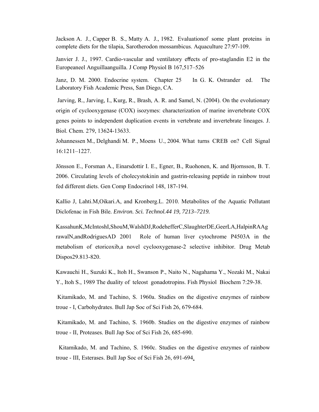Jackson A. J., Capper B. S., Matty A. J., 1982. Evaluationof some plant proteins in complete diets for the tilapia, Sarotherodon mossambicus. Aquaculture 27:97-109.

Janvier J. J., 1997. Cardio-vascular and ventilatory effects of pro-staglandin E2 in the Europeaneel Anguillaanguilla. J Comp Physiol B 167,517–526

Janz, D. M. 2000. Endocrine system. Chapter 25 In G. K. Ostrander ed. The Laboratory Fish Academic Press, San Diego, CA.

 Jarving, R., Jarving, I., Kurg, R., Brash, A. R. and Samel, N. (2004). On the evolutionary origin of cyclooxygenase (COX) isozymes: characterization of marine invertebrate COX genes points to independent duplication events in vertebrate and invertebrate lineages. J. Biol. Chem. 279, 13624-13633.

Johannessen M., Delghandi M. P., Moens U., 2004. What turns CREB on? Cell Signal 16:1211–1227.

Jönsson E., Forsman A., Einarsdottir I. E., Egner, B., Ruohonen, K. and Bjornsson, B. T. 2006. Circulating levels of cholecystokinin and gastrin-releasing peptide in rainbow trout fed different diets. Gen Comp Endocrinol 148, 187-194.

Kallio J, Lahti.M,Oikari.A, and Kronberg.L. 2010. Metabolites of the Aquatic Pollutant Diclofenac in Fish Bile*. Environ. Sci. Technol.44 19, 7213–7219.* 

KassahunK,McIntoshI,ShouM,WalshDJ,RodehefferC,SlaughterDE,GeerLA,HalpinRAAg rawalN,andRodriguesAD 2001 Role of human liver cytochrome P4503A in the metabolism of etoricoxib,a novel cyclooxygenase-2 selective inhibitor. Drug Metab Dispos29.813-820.

Kawauchi H., Suzuki K., Itoh H., Swanson P., Naito N., Nagahama Y., Nozaki M., Nakai Y., Itoh S., 1989 The duality of teleost gonadotropins. Fish Physiol Biochem 7:29-38.

 Kitamikado, M. and Tachino, S. 1960a. Studies on the digestive enzymes of rainbow troue - I, Carbohydrates. Bull Jap Soc of Sci Fish 26, 679-684.

 Kitamikado, M. and Tachino, S. 1960b. Studies on the digestive enzymes of rainbow troue - II, Proteases. Bull Jap Soc of Sci Fish 26, 685-690.

 Kitamikado, M. and Tachino, S. 1960c. Studies on the digestive enzymes of rainbow troue - III, Esterases. Bull Jap Soc of Sci Fish 26, 691-694.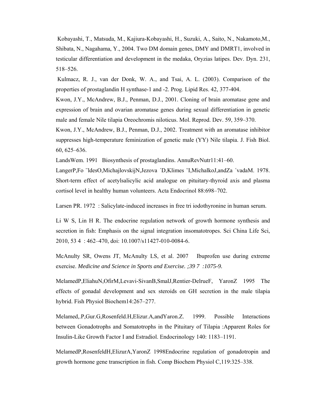Kobayashi, T., Matsuda, M., Kajiura-Kobayashi, H., Suzuki, A., Saito, N., Nakamoto,M., Shibata, N., Nagahama, Y., 2004. Two DM domain genes, DMY and DMRT1, involved in testicular differentiation and development in the medaka, Oryzias latipes. Dev. Dyn. 231, 518–526.

Kulmacz, R. J., van der Donk, W. A., and Tsai, A. L. (2003). Comparison of the properties of prostaglandin H synthase-1 and -2. Prog. Lipid Res. 42, 377-404.

Kwon, J.Y., McAndrew, B.J., Penman, D.J., 2001. Cloning of brain aromatase gene and expression of brain and ovarian aromatase genes during sexual differentiation in genetic male and female Nile tilapia Oreochromis niloticus. Mol. Reprod. Dev. 59, 359–370.

Kwon, J.Y., McAndrew, B.J., Penman, D.J., 2002. Treatment with an aromatase inhibitor suppresses high-temperature feminization of genetic male (YY) Nile tilapia. J. Fish Biol. 60, 625–636.

LandsWem. 1991 Biosynthesis of prostaglandins. AnnuRevNutr11:41–60.

LangerP,Fo ¨ldesO,MichajlovskijN,Jezova ´D,Klimes ˇI,MichalkoJ,andZa ´vadaM. 1978. Short-term effect of acetylsalicylic acid analogue on pituitary-thyroid axis and plasma cortisol level in healthy human volunteers. Acta Endocrinol 88:698–702.

Larsen PR. 1972 : Salicylate-induced increases in free tri iodothyronine in human serum.

Li W S, Lin H R. The endocrine regulation network of growth hormone synthesis and secretion in fish: Emphasis on the signal integration insomatotropes. Sci China Life Sci, 2010, 53 4 : 462–470, doi: 10.1007/s11427-010-0084-6.

McAnulty SR, Owens JT, McAnulty LS, et al. 2007 Ibuprofen use during extreme exercise. *Medicine and Science in Sports and Exercise. ;39 7 :1075-9.* 

MelamedP,EliahuN,OfirM,Levavi-SivanB,SmalJ,Rentier-DelrueF, YaronZ 1995 The effects of gonadal development and sex steroids on GH secretion in the male tilapia hybrid. Fish Physiol Biochem14:267–277.

Melamed,.P,Gur.G,Rosenfeld.H,Elizur.A,andYaron.Z. 1999. Possible Interactions between Gonadotrophs and Somatotrophs in the Pituitary of Tilapia :Apparent Roles for Insulin-Like Growth Factor I and Estradiol. Endocrinology 140: 1183–1191.

MelamedP,RosenfeldH,ElizurA,YaronZ 1998Endocrine regulation of gonadotropin and growth hormone gene transcription in fish. Comp Biochem Physiol C,119:325–338.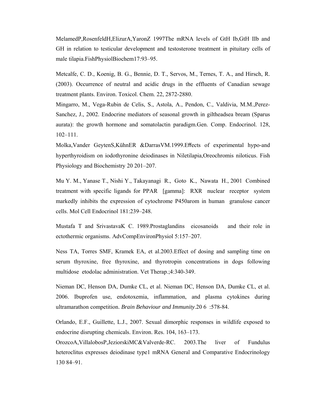MelamedP,RosenfeldH,ElizurA,YaronZ 1997The mRNA levels of GtH Ib,GtH IIb and GH in relation to testicular development and testosterone treatment in pituitary cells of male tilapia.FishPhysiolBiochem17:93–95.

Metcalfe, C. D., Koenig, B. G., Bennie, D. T., Servos, M., Ternes, T. A., and Hirsch, R. (2003). Occurrence of neutral and acidic drugs in the effluents of Canadian sewage treatment plants. Environ. Toxicol. Chem. 22, 2872-2880.

Mingarro, M., Vega-Rubin de Celis, S., Astola, A., Pendon, C., Valdivia, M.M.,Perez-Sanchez, J., 2002. Endocrine mediators of seasonal growth in giltheadsea bream (Sparus aurata): the growth hormone and somatolactin paradigm.Gen. Comp. Endocrinol. 128, 102–111.

Molka,Vander GeytenS,KühnER &DarrasVM.1999.Effects of experimental hypo-and hyperthyroidism on iodothyronine deiodinases in Niletilapia,Oreochromis niloticus. Fish Physiology and Biochemistry 20 201–207.

Mu Y. M., Yanase T., Nishi Y., Takayanagi R., Goto K., Nawata H., 2001 Combined treatment with specific ligands for PPAR [gamma]: RXR nuclear receptor system markedly inhibits the expression of cytochrome P450arom in human granulose cancer cells. Mol Cell Endocrinol 181:239–248.

Mustafa T and SrivastavaK C. 1989.Prostaglandins eicosanoids and their role in ectothermic organisms. AdvCompEnvironPhysiol 5:157–207.

Ness TA, Torres SMF, Kramek EA, et al.2003.Effect of dosing and sampling time on serum thyroxine, free thyroxine, and thyrotropin concentrations in dogs following multidose etodolac administration. Vet Therap.;4:340-349.

Nieman DC, Henson DA, Dumke CL, et al. Nieman DC, Henson DA, Dumke CL, et al. 2006. Ibuprofen use, endotoxemia, inflammation, and plasma cytokines during ultramarathon competition. *Brain Behaviour and Immunity*.20 6 :578-84.

Orlando, E.F., Guillette, L.J., 2007. Sexual dimorphic responses in wildlife exposed to endocrine disrupting chemicals. Environ. Res. 104, 163–173.

OrozcoA,VillalobosP,JeziorskiMC&Valverde-RC. 2003.The liver of Fundulus heteroclitus expresses deiodinase type1 mRNA General and Comparative Endocrinology 130 84–91.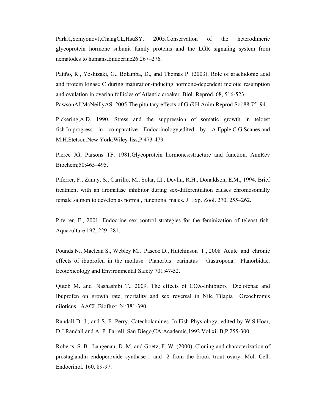ParkJI,SemyonovJ,ChangCL,HsuSY. 2005.Conservation of the heterodimeric glycoprotein hormone subunit family proteins and the LGR signaling system from nematodes to humans.Endocrine26:267–276.

Patiño, R., Yoshizaki, G., Bolamba, D., and Thomas P. (2003). Role of arachidonic acid and protein kinase C during maturation-inducing hormone-dependent meiotic resumption and ovulation in ovarian follicles of Atlantic croaker. Biol. Reprod. 68, 516-523. PawsonAJ,McNeillyAS. 2005.The pituitary effects of GnRH.Anim Reprod Sci;88:75–94.

Pickering,A.D. 1990. Stress and the suppression of somatic growth in teloest fish.In:progress in comparative Endocrinology,edited by A.Epple,C.G.Scanes,and M.H.Stetson.New York:Wiley-liss,P.473-479.

Pierce JG, Parsons TF. 1981.Glycoprotein hormones:structure and function. AnnRev Biochem;50:465–495.

Piferrer, F., Zanuy, S., Carrillo, M., Solar, I.I., Devlin, R.H., Donaldson, E.M., 1994. Brief treatment with an aromatase inhibitor during sex-differentiation causes chromosomally female salmon to develop as normal, functional males. J. Exp. Zool. 270, 255–262.

Piferrer, F., 2001. Endocrine sex control strategies for the feminization of teleost fish. Aquaculture 197, 229–281.

Pounds N., Maclean S., Webley M., Pascoe D., Hutchinson T., 2008 Acute and chronic effects of ibuprofen in the mollusc Planorbis carinatus Gastropoda: Planorbidae. Ecotoxicology and Environmental Safety 701:47-52.

Qutob M. and Nashashibi T., 2009. The effects of COX-Inhibitors Diclofenac and Ibuprofen on growth rate, mortality and sex reversal in Nile Tilapia Oreochromis niloticus. AACL Bioflux; 24:381-390.

Randall D. J., and S. F. Perry. Catecholamines. In:Fish Physiology, edited by W.S.Hoar, D.J.Randall and A. P. Farrell. San Diego,CA:Academic,1992,Vol.xii B,P.255-300.

Roberts, S. B., Langenau, D. M. and Goetz, F. W. (2000). Cloning and characterization of prostaglandin endoperoxide synthase-1 and -2 from the brook trout ovary. Mol. Cell. Endocrinol. 160, 89-97.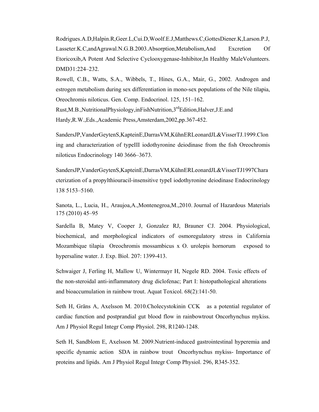Rodrigues.A.D,Halpin.R,Geer.L,Cui.D,Woolf.E.J,Matthews.C,GottesDiener.K,Larson.P.J, Lasseter.K.C,andAgrawal.N.G.B.2003.Absorption,Metabolism,And Excretion Of Etoricoxib,A Potent And Selective Cyclooxygenase-Inhibitor,In Healthy MaleVolunteers. DMD31:224–232.

Rowell, C.B., Watts, S.A., Wibbels, T., Hines, G.A., Mair, G., 2002. Androgen and estrogen metabolism during sex differentiation in mono-sex populations of the Nile tilapia, Oreochromis niloticus. Gen. Comp. Endocrinol. 125, 151–162.

Rust,M.B.,NutritionalPhysiology,inFishNutrition,3rdEdition,Halver,J.E.and Hardy,R.W.,Eds.,Academic Press,Amsterdam,2002,pp.367-452.

SandersJP,VanderGeytenS,KapteinE,DarrasVM,KühnERLeonardJL&VisserTJ.1999.Clon ing and characterization of typeIII iodothyronine deiodinase from the fish Oreochromis niloticus Endocrinology 140 3666–3673.

SandersJP,VanderGeytenS,KapteinE,DarrasVM,KühnERLeonardJL&VisserTJ1997Chara cterization of a propylthiouracil-insensitive typeI iodothyronine deiodinase Endocrinology 138 5153–5160.

Sanota, L., Lucia, H., Araujoa,A.,Montenegroa,M.,2010. Journal of Hazardous Materials 175 (2010) 45–95

Sardella B, Matey V, Cooper J, Gonzalez RJ, Brauner CJ. 2004. Physiological, biochemical, and morphological indicators of osmoregulatory stress in California Mozambique tilapia Oreochromis mossambicus x O. urolepis hornorum exposed to hypersaline water. J. Exp. Biol. 207: 1399-413.

Schwaiger J, Ferling H, Mallow U, Wintermayr H, Negele RD. 2004. Toxic effects of the non-steroidal anti-inflammatory drug diclofenac; Part I: histopathological alterations and bioaccumulation in rainbow trout. Aquat Toxicol. 68(2):141-50.

Seth H, Gräns A, Axelsson M. 2010.Cholecystokinin CCK as a potential regulator of cardiac function and postprandial gut blood flow in rainbowtrout Oncorhynchus mykiss. Am J Physiol Regul Integr Comp Physiol. 298, R1240-1248.

Seth H, Sandblom E, Axelsson M. 2009.Nutrient-induced gastrointestinal hyperemia and specific dynamic action SDA in rainbow trout Oncorhynchus mykiss- Importance of proteins and lipids. Am J Physiol Regul Integr Comp Physiol. 296, R345-352.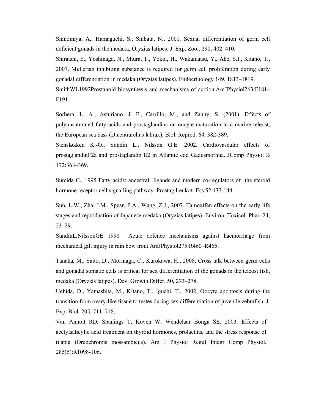Shinomiya, A., Hamaguchi, S., Shibata, N., 2001. Sexual differentiation of germ cell deficient gonads in the medaka, Oryzias latipes. J. Exp. Zool. 290, 402–410. Shiraishi, E., Yoshinaga, N., Miura, T., Yokoi, H., Wakamatsu, Y., Abe, S.I., Kitano, T., 2007. Mullerian inhibiting substance is required for germ cell proliferation during early gonadal differentiation in medaka (Oryzias latipes). Endocrinology 149, 1813–1819. SmithWL1992Prostanoid biosynthesis and mechanisms of ac-tion.AmJPhysiol263:F181– F191.

Sorbera, L. A., Asturiano, J. F., Carrillo, M., and Zanuy, S. (2001). Effects of polyunsaturated fatty acids and prostaglandins on oocyte maturation in a marine teleost, the European sea bass (Dicentrarchus labrax). Biol. Reprod. 64, 382-389.

Stensløkken K.-O., Sundin L., Nilsson G.E. 2002. Cardiovascular effects of prostaglandinF2a and prostaglandin E2 in Atlantic cod Gadusmorhua. JComp Physiol B 172:363–369.

Sumida C., 1995 Fatty acids: ancestral ligands and modern co-regulators of the steroid hormone receptor cell signalling pathway. Prostag Leukotr Ess 52:137-144.

Sun, L.W., Zha, J.M., Spear, P.A., Wang, Z.J., 2007. Tamoxifen effects on the early life stages and reproduction of Japanese medaka (Oryzias latipes). Environ. Toxicol. Phar. 24, 23–29.

SundinL,NilssonGE 1998 Acute defence mechanisms against haemorrhage from mechanical gill injury in rain bow trout.AmJPhysiol275:R460–R465.

Tanaka, M., Saito, D., Morinaga, C., Kurokawa, H., 2008. Cross talk between germ cells and gonadal somatic cells is critical for sex differentiation of the gonads in the teleost fish, medaka (Oryzias latipes). Dev. Growth Differ. 50, 273–278.

Uchida, D., Yamashita, M., Kitano, T., Iguchi, T., 2002. Oocyte apoptosis during the transition from ovary-like tissue to testes during sex differentiation of juvenile zebrafish. J. Exp. Biol. 205, 711–718.

Van Anholt RD, Spanings T, Koven W, Wendelaar Bonga SE. 2003. Effects of acetylsalicylic acid treatment on thyroid hormones, prolactins, and the stress response of tilapia (Oreochromis mossambicus). Am J Physiol Regul Integr Comp Physiol. 285(5):R1098-106.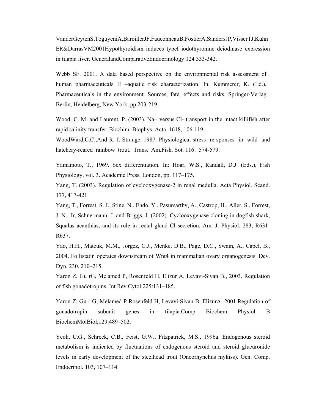VanderGeytenS,ToguyeniA,BaroillerJF,FauconneauB,FostierA,SandersJP,VisserTJ,Kühn ER&DarrasVM2001Hypothyroidism induces typeI iodothyronine deiodinase expression in tilapia liver. GeneralandComparativeEndocrinology 124 333-342.

Webb SF. 2001. A data based perspective on the environmental risk assessment of human pharmaceuticals II –aquatic risk characterization. In. Kummerer, K. (Ed.), Pharmaceuticals in the environment. Sources, fate, effects and risks. Springer-Verlag Berlin, Heidelberg, New York, pp.203-219.

Wood, C. M. and Laurent, P. (2003). Na+ versus Cl- transport in the intact killifish after rapid salinity transfer. Biochim. Biophys. Acta. 1618, 106-119.

WoodWard,C.C.,And R. J. Strange. 1987. Physiological stress re-sponses in wild and hatchery-reared rainbow trout. Trans. Am.Fish. Sot. 116: 574-579.

Yamamoto, T., 1969. Sex differentiation. In: Hoar, W.S., Randall, D.J. (Eds.), Fish Physiology, vol. 3. Academic Press, London, pp. 117–175.

Yang, T. (2003). Regulation of cyclooxygenase-2 in renal medulla. Acta Physiol. Scand. 177, 417-421.

Yang, T., Forrest, S. J., Stine, N., Endo, Y., Pasumarthy, A., Castrop, H., Aller, S., Forrest, J. N., Jr, Schnermann, J. and Briggs, J. (2002). Cyclooxygenase cloning in dogfish shark, Squalus acanthias, and its role in rectal gland Cl secretion. Am. J. Physiol. 283, R631- R637.

Yao, H.H., Matzuk, M.M., Jorgez, C.J., Menke, D.B., Page, D.C., Swain, A., Capel, B., 2004. Follistatin operates downstream of Wnt4 in mammalian ovary organogenesis. Dev. Dyn. 230, 210–215.

Yaron Z, Gu rG, Melamed P, Rosenfeld H, Elizur A, Levavi-Sivan B., 2003. Regulation of fish gonadotropins. Int Rev Cytol;225:131–185.

Yaron Z, Gu r G, Melamed P Rosenfeld H, Levavi-Sivan B, ElizurA. 2001.Regulation of gonadotropin subunit genes in tilapia.Comp Biochem Physiol B BiochemMolBiol;129:489–502.

Yeoh, C.G., Schreck, C.B., Feist, G.W., Fitzpatrick, M.S., 1996a. Endogenous steroid metabolism is indicated by fluctuations of endogenous steroid and steroid glucuronide levels in early development of the steelhead trout (Oncorhynchus mykiss). Gen. Comp. Endocrinol. 103, 107–114.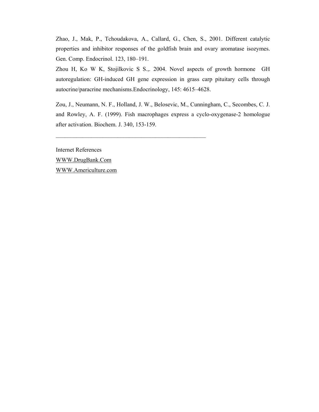Zhao, J., Mak, P., Tchoudakova, A., Callard, G., Chen, S., 2001. Different catalytic properties and inhibitor responses of the goldfish brain and ovary aromatase isozymes. Gen. Comp. Endocrinol. 123, 180–191.

Zhou H, Ko W K, Stojilkovic S S.,. 2004. Novel aspects of growth hormone GH autoregulation: GH-induced GH gene expression in grass carp pituitary cells through autocrine/paracrine mechanisms.Endocrinology, 145: 4615–4628.

Zou, J., Neumann, N. F., Holland, J. W., Belosevic, M., Cunningham, C., Secombes, C. J. and Rowley, A. F. (1999). Fish macrophages express a cyclo-oxygenase-2 homologue after activation. Biochem. J. 340, 153-159.

 $\mathcal{L}_\text{max}$  and the contract of the contract of the contract of the contract of the contract of the contract of the contract of the contract of the contract of the contract of the contract of the contract of the contrac

Internet References WWW.DrugBank.Com WWW.Americulture.com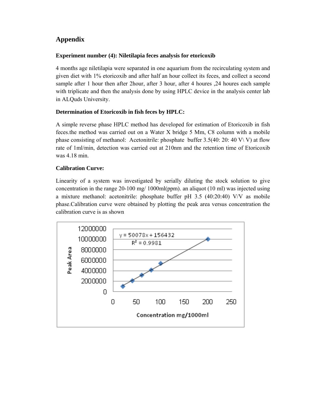# **Appendix**

## **Experiment number (4): Niletilapia feces analysis for etoricoxib**

4 months age niletilapia were separated in one aquarium from the recirculating system and given diet with 1% etoricoxib and after half an hour collect its feces, and collect a second sample after 1 hour then after 2 hour, after 3 hour, after 4 houres , 24 houres each sample with triplicate and then the analysis done by using HPLC device in the analysis center lab in ALQuds University.

# **Determination of Etoricoxib in fish feces by HPLC:**

A simple reverse phase HPLC method has developed for estimation of Etoricoxib in fish feces.the method was carried out on a Water X bridge 5 Mm, C8 column with a mobile phase consisting of methanol: Acetonitrile: phosphate buffer  $3.5(40:20:40 \text{ V}\vee \text{V})$  at flow rate of 1ml/min, detection was carried out at 210nm and the retention time of Etoricoxib was 4.18 min.

### **Calibration Curve:**

Linearity of a system was investigated by serially diluting the stock solution to give concentration in the range 20-100 mg/ 1000ml(ppm). an aliquot (10 ml) was injected using a mixture methanol: acetonitrile: phosphate buffer pH 3.5 (40:20:40) V/V as mobile phase.Calibration curve were obtained by plotting the peak area versus concentration the calibration curve is as shown

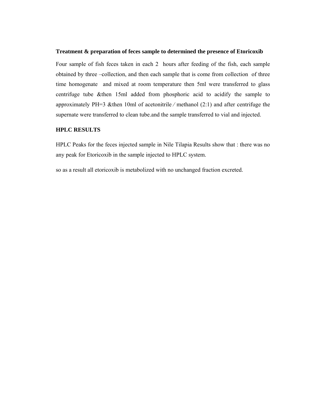#### **Treatment & preparation of feces sample to determined the presence of Etoricoxib**

Four sample of fish feces taken in each 2 hours after feeding of the fish, each sample obtained by three –collection, and then each sample that is come from collection of three time homogenate and mixed at room temperature then 5ml were transferred to glass centrifuge tube &then 15ml added from phosphoric acid to acidify the sample to approximately PH=3 &then 10ml of acetonitrile ⁄ methanol (2:1) and after centrifuge the supernate were transferred to clean tube.and the sample transferred to vial and injected.

#### **HPLC RESULTS**

HPLC Peaks for the feces injected sample in Nile Tilapia Results show that : there was no any peak for Etoricoxib in the sample injected to HPLC system.

so as a result all etoricoxib is metabolized with no unchanged fraction excreted.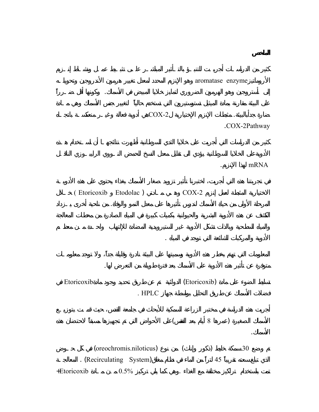aromatase enzyme

 $COX-2$ 

إلى أستروجين وهو الهرمون الشروري لتمايز خلايا المبيض في الأسماك. وكونها أقل ضروري لتمايز خلايا المبيض في الأسما

المرحلة الأولى من حياة الأسماك لندرس تأثيرها على معدل النمو والوفاة. من ناحية أخرى يـزداد

.COX-2Pathway

. mRNA

الأسماك.

(Etoricoxib Etodolac) COX-2

Etoricoxib (Etoricoxib  $(1 - \frac{1}{2})$ 

متوفرة عن تأثير هذه الأدوية على الأسماك بعد فترة طويلة من التعرض لها.

الأدوية والمركبات الشائعة التي توجد في المياه .

فضلات الأسماك عن طريق التحليل بواسطة جهاز HPLC .

الأسماك الصغيرة (عمرها 8 أيام بعد الفقس) لى الأحواض التي تم تجهيزها مسبقاً لاحتضان هذه

(oreochromis niloticus) (contents in a  $($   $)$   $30$ الذي تبلغ سعته تقريباً 45 لتراً من الماء في نظام مغلق(System Recirculating (. المعالجـة تمت باستخدام تراكيز مختلفة مع الغذاء .وهي كما يلي تركيز 0.5% مـن مـادة Etoricoxib+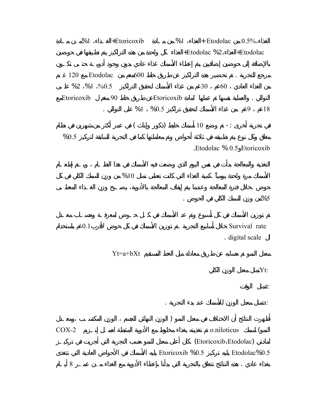| 0.5%                             |       | + Etodolac                             |                 | %1         |      | +Etoricoxib |          | %1         |         |
|----------------------------------|-------|----------------------------------------|-----------------|------------|------|-------------|----------|------------|---------|
| +Etodolac                        |       |                                        | +Etodolac %2    |            |      |             |          |            |         |
|                                  |       |                                        |                 |            |      | 600         | Etodolac |            | 120     |
|                                  |       | 60                                     | 30              |            |      |             |          | %2 %1 %0.5 |         |
| 18<br>9                          |       |                                        |                 | Etoricoxib | %0.5 | %1          | 90       | Etoricoxib |         |
|                                  | $-$ : |                                        | 10              |            | )    | $\left($    |          |            |         |
| .Etodolac % 0.5 Etoricoxib       |       |                                        |                 |            |      |             |          |            | %0.5    |
|                                  |       |                                        |                 |            |      | %10         |          |            |         |
| %5                               |       |                                        |                 |            |      |             |          |            |         |
| Survival rate<br>. digital scale |       |                                        |                 |            |      | Yt=a+bXt    |          | 0.1        |         |
| Yt:                              |       |                                        |                 |            |      |             |          |            |         |
| t:                               |       |                                        |                 |            |      |             |          |            |         |
| $a$ :                            |       |                                        |                 |            |      |             |          |            |         |
|                                  |       |                                        |                 |            |      |             |          |            |         |
|                                  |       | o.niloticus<br>. (Etoricoxib Etodolac) |                 |            |      |             |          |            | $COX-2$ |
| Etodolac%0.5                     |       |                                        | Etoricoxib %0.5 |            |      |             |          |            | $8\,$   |
|                                  |       |                                        |                 |            |      |             |          |            |         |